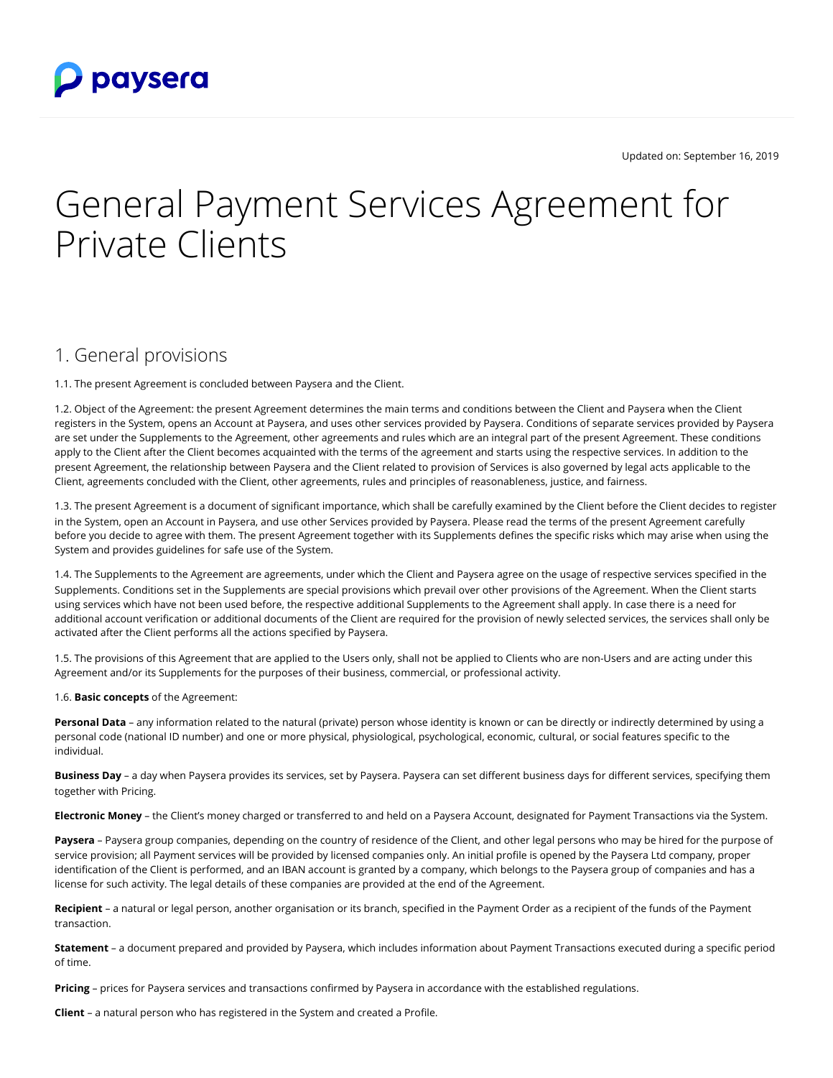

Updated on: September 16, 2019

# General Payment Services Agreement for Private Clients

#### 1. General provisions

1.1. The present Agreement is concluded between Paysera and the Client.

1.2. Object of the Agreement: the present Agreement determines the main terms and conditions between the Client and Paysera when the Client registers in the System, opens an Account at Paysera, and uses other services provided by Paysera. Conditions of separate services provided by Paysera are set under the Supplements to the Agreement, other agreements and rules which are an integral part of the present Agreement. These conditions apply to the Client after the Client becomes acquainted with the terms of the agreement and starts using the respective services. In addition to the present Agreement, the relationship between Paysera and the Client related to provision of Services is also governed by legal acts applicable to the Client, agreements concluded with the Client, other agreements, rules and principles of reasonableness, justice, and fairness.

1.3. The present Agreement is a document of significant importance, which shall be carefully examined by the Client before the Client decides to register in the System, open an Account in Paysera, and use other Services provided by Paysera. Please read the terms of the present Agreement carefully before you decide to agree with them. The present Agreement together with its Supplements defines the specific risks which may arise when using the System and provides guidelines for safe use of the System.

1.4. The Supplements to the Agreement are agreements, under which the Client and Paysera agree on the usage of respective services specified in the Supplements. Conditions set in the Supplements are special provisions which prevail over other provisions of the Agreement. When the Client starts using services which have not been used before, the respective additional Supplements to the Agreement shall apply. In case there is a need for additional account verification or additional documents of the Client are required for the provision of newly selected services, the services shall only be activated after the Client performs all the actions specified by Paysera.

1.5. The provisions of this Agreement that are applied to the Users only, shall not be applied to Clients who are non-Users and are acting under this Agreement and/or its Supplements for the purposes of their business, commercial, or professional activity.

1.6. **Basic concepts** of the Agreement:

**Personal Data** – any information related to the natural (private) person whose identity is known or can be directly or indirectly determined by using a personal code (national ID number) and one or more physical, physiological, psychological, economic, cultural, or social features specific to the individual.

**Business Day** – a day when Paysera provides its services, set by Paysera. Paysera can set different business days for different services, specifying them together with Pricing.

**Electronic Money** – the Client's money charged or transferred to and held on a Paysera Account, designated for Payment Transactions via the System.

Paysera – Paysera group companies, depending on the country of residence of the Client, and other legal persons who may be hired for the purpose of service provision; all Payment services will be provided by licensed companies only. An initial profile is opened by the Paysera Ltd company, proper identification of the Client is performed, and an IBAN account is granted by a company, which belongs to the Paysera group of companies and has a license for such activity. The legal details of these companies are provided at the end of the Agreement.

**Recipient** – a natural or legal person, another organisation or its branch, specified in the Payment Order as a recipient of the funds of the Payment transaction.

**Statement** – a document prepared and provided by Paysera, which includes information about Payment Transactions executed during a specific period of time.

**Pricing** – prices for Paysera services and transactions confirmed by Paysera in accordance with the established regulations.

**Client** – a natural person who has registered in the System and created a Profile.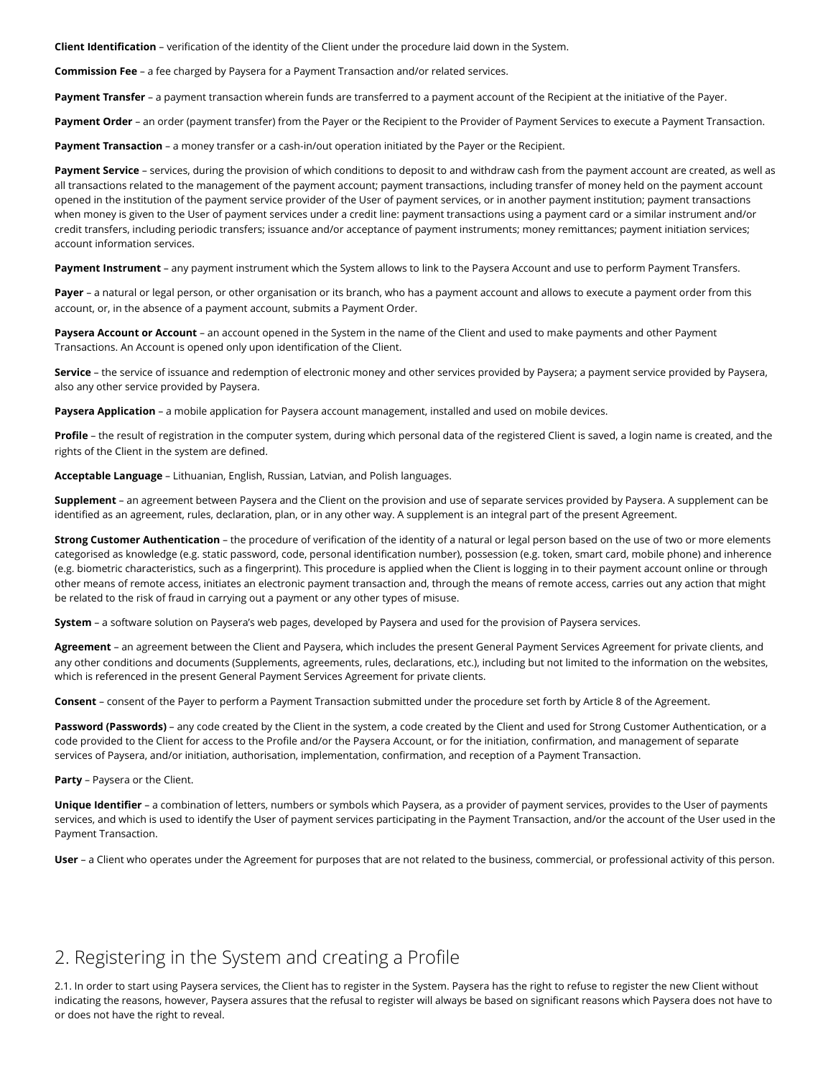**Client Identification** – verification of the identity of the Client under the procedure laid down in the System.

**Commission Fee** – a fee charged by Paysera for a Payment Transaction and/or related services.

**Payment Transfer** – a payment transaction wherein funds are transferred to a payment account of the Recipient at the initiative of the Payer.

**Payment Order** – an order (payment transfer) from the Payer or the Recipient to the Provider of Payment Services to execute a Payment Transaction.

**Payment Transaction** – a money transfer or a cash-in/out operation initiated by the Payer or the Recipient.

Payment Service - services, during the provision of which conditions to deposit to and withdraw cash from the payment account are created, as well as all transactions related to the management of the payment account; payment transactions, including transfer of money held on the payment account opened in the institution of the payment service provider of the User of payment services, or in another payment institution; payment transactions when money is given to the User of payment services under a credit line: payment transactions using a payment card or a similar instrument and/or credit transfers, including periodic transfers; issuance and/or acceptance of payment instruments; money remittances; payment initiation services; account information services.

**Payment Instrument** – any payment instrument which the System allows to link to the Paysera Account and use to perform Payment Transfers.

**Payer** – a natural or legal person, or other organisation or its branch, who has a payment account and allows to execute a payment order from this account, or, in the absence of a payment account, submits a Payment Order.

**Paysera Account or Account** – an account opened in the System in the name of the Client and used to make payments and other Payment Transactions. An Account is opened only upon identification of the Client.

**Service** – the service of issuance and redemption of electronic money and other services provided by Paysera; a payment service provided by Paysera, also any other service provided by Paysera.

**Paysera Application** – a mobile application for Paysera account management, installed and used on mobile devices.

**Profile** – the result of registration in the computer system, during which personal data of the registered Client is saved, a login name is created, and the rights of the Client in the system are defined.

**Acceptable Language** – Lithuanian, English, Russian, Latvian, and Polish languages.

**Supplement** – an agreement between Paysera and the Client on the provision and use of separate services provided by Paysera. A supplement can be identified as an agreement, rules, declaration, plan, or in any other way. A supplement is an integral part of the present Agreement.

**Strong Customer Authentication** – the procedure of verification of the identity of a natural or legal person based on the use of two or more elements categorised as knowledge (e.g. static password, code, personal identification number), possession (e.g. token, smart card, mobile phone) and inherence (e.g. biometric characteristics, such as a fingerprint). This procedure is applied when the Client is logging in to their payment account online or through other means of remote access, initiates an electronic payment transaction and, through the means of remote access, carries out any action that might be related to the risk of fraud in carrying out a payment or any other types of misuse.

**System** – a software solution on Paysera's web pages, developed by Paysera and used for the provision of Paysera services.

**Agreement** – an agreement between the Client and Paysera, which includes the present General Payment Services Agreement for private clients, and any other conditions and documents (Supplements, agreements, rules, declarations, etc.), including but not limited to the information on the websites, which is referenced in the present General Payment Services Agreement for private clients.

**Consent** – consent of the Payer to perform a Payment Transaction submitted under the procedure set forth by Article 8 of the Agreement.

**Password (Passwords)** – any code created by the Client in the system, a code created by the Client and used for Strong Customer Authentication, or a code provided to the Client for access to the Profile and/or the Paysera Account, or for the initiation, confirmation, and management of separate services of Paysera, and/or initiation, authorisation, implementation, confirmation, and reception of a Payment Transaction.

**Party** – Paysera or the Client.

**Unique Identifier** – a combination of letters, numbers or symbols which Paysera, as a provider of payment services, provides to the User of payments services, and which is used to identify the User of payment services participating in the Payment Transaction, and/or the account of the User used in the Payment Transaction.

**User** – a Client who operates under the Agreement for purposes that are not related to the business, commercial, or professional activity of this person.

#### 2. Registering in the System and creating a Profile

2.1. In order to start using Paysera services, the Client has to register in the System. Paysera has the right to refuse to register the new Client without indicating the reasons, however, Paysera assures that the refusal to register will always be based on significant reasons which Paysera does not have to or does not have the right to reveal.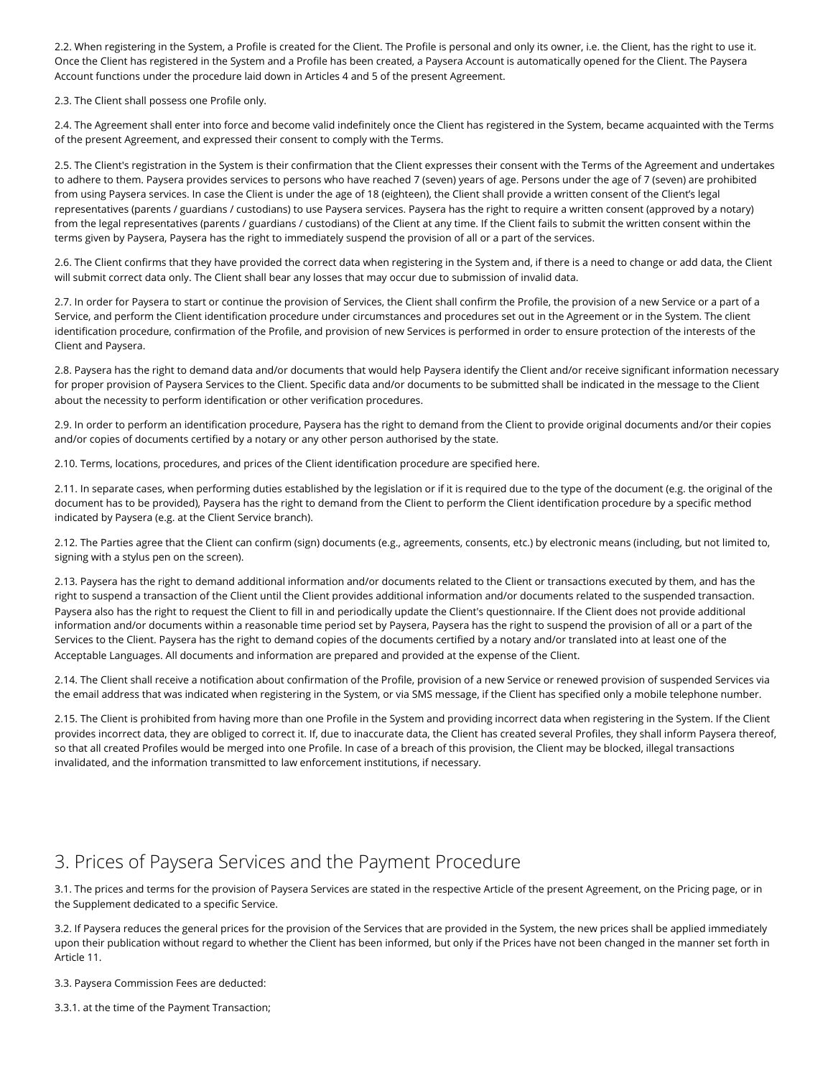2.2. When registering in the System, a Profile is created for the Client. The Profile is personal and only its owner, i.e. the Client, has the right to use it. Once the Client has registered in the System and a Profile has been created, a Paysera Account is automatically opened for the Client. The Paysera Account functions under the procedure laid down in Articles 4 and 5 of the present Agreement.

2.3. The Client shall possess one Profile only.

2.4. The Agreement shall enter into force and become valid indefinitely once the Client has registered in the System, became acquainted with the Terms of the present Agreement, and expressed their consent to comply with the Terms.

2.5. The Client's registration in the System is their confirmation that the Client expresses their consent with the Terms of the Agreement and undertakes to adhere to them. Paysera provides services to persons who have reached 7 (seven) years of age. Persons under the age of 7 (seven) are prohibited from using Paysera services. In case the Client is under the age of 18 (eighteen), the Client shall provide a written consent of the Client's legal representatives (parents / guardians / custodians) to use Paysera services. Paysera has the right to require a written consent (approved by a notary) from the legal representatives (parents / guardians / custodians) of the Client at any time. If the Client fails to submit the written consent within the terms given by Paysera, Paysera has the right to immediately suspend the provision of all or a part of the services.

2.6. The Client confirms that they have provided the correct data when registering in the System and, if there is a need to change or add data, the Client will submit correct data only. The Client shall bear any losses that may occur due to submission of invalid data.

2.7. In order for Paysera to start or continue the provision of Services, the Client shall confirm the Profile, the provision of a new Service or a part of a Service, and perform the Client identification procedure under circumstances and procedures set out in the Agreement or in the System. The client identification procedure, confirmation of the Profile, and provision of new Services is performed in order to ensure protection of the interests of the Client and Paysera.

2.8. Paysera has the right to demand data and/or documents that would help Paysera identify the Client and/or receive significant information necessary for proper provision of Paysera Services to the Client. Specific data and/or documents to be submitted shall be indicated in the message to the Client about the necessity to perform identification or other verification procedures.

2.9. In order to perform an identification procedure, Paysera has the right to demand from the Client to provide original documents and/or their copies and/or copies of documents certified by a notary or any other person authorised by the state.

2.10. Terms, locations, procedures, and prices of the Client identification procedure are specified [here.](https://www.paysera.lt/v2/en-LT/fees/account-management-and-identification-private)

2.11. In separate cases, when performing duties established by the legislation or if it is required due to the type of the document (e.g. the original of the document has to be provided), Paysera has the right to demand from the Client to perform the Client identification procedure by a specific method indicated by Paysera (e.g. at the Client Service branch).

2.12. The Parties agree that the Client can confirm (sign) documents (e.g., agreements, consents, etc.) by electronic means (including, but not limited to, signing with a stylus pen on the screen).

2.13. Paysera has the right to demand additional information and/or documents related to the Client or transactions executed by them, and has the right to suspend a transaction of the Client until the Client provides additional information and/or documents related to the suspended transaction. Paysera also has the right to request the Client to fill in and periodically update the Client's questionnaire. If the Client does not provide additional information and/or documents within a reasonable time period set by Paysera, Paysera has the right to suspend the provision of all or a part of the Services to the Client. Paysera has the right to demand copies of the documents certified by a notary and/or translated into at least one of the Acceptable Languages. All documents and information are prepared and provided at the expense of the Client.

2.14. The Client shall receive a notification about confirmation of the Profile, provision of a new Service or renewed provision of suspended Services via the email address that was indicated when registering in the System, or via SMS message, if the Client has specified only a mobile telephone number.

2.15. The Client is prohibited from having more than one Profile in the System and providing incorrect data when registering in the System. If the Client provides incorrect data, they are obliged to correct it. If, due to inaccurate data, the Client has created several Profiles, they shall inform Paysera thereof, so that all created Profiles would be merged into one Profile. In case of a breach of this provision, the Client may be blocked, illegal transactions invalidated, and the information transmitted to law enforcement institutions, if necessary.

# 3. Prices of Paysera Services and the Payment Procedure

3.1. The prices and terms for the provision of Paysera Services are stated in the respective Article of the present Agreement, on the [Pricing page](https://www.paysera.lt/v2/en-LT/fees), or in the Supplement dedicated to a specific Service.

3.2. If Paysera reduces the general prices for the provision of the Services that are provided in the System, the new prices shall be applied immediately upon their publication without regard to whether the Сlient has been informed, but only if the Prices have not been changed in the manner set forth in Article 11.

3.3. Paysera Commission Fees are deducted:

3.3.1. at the time of the Payment Transaction;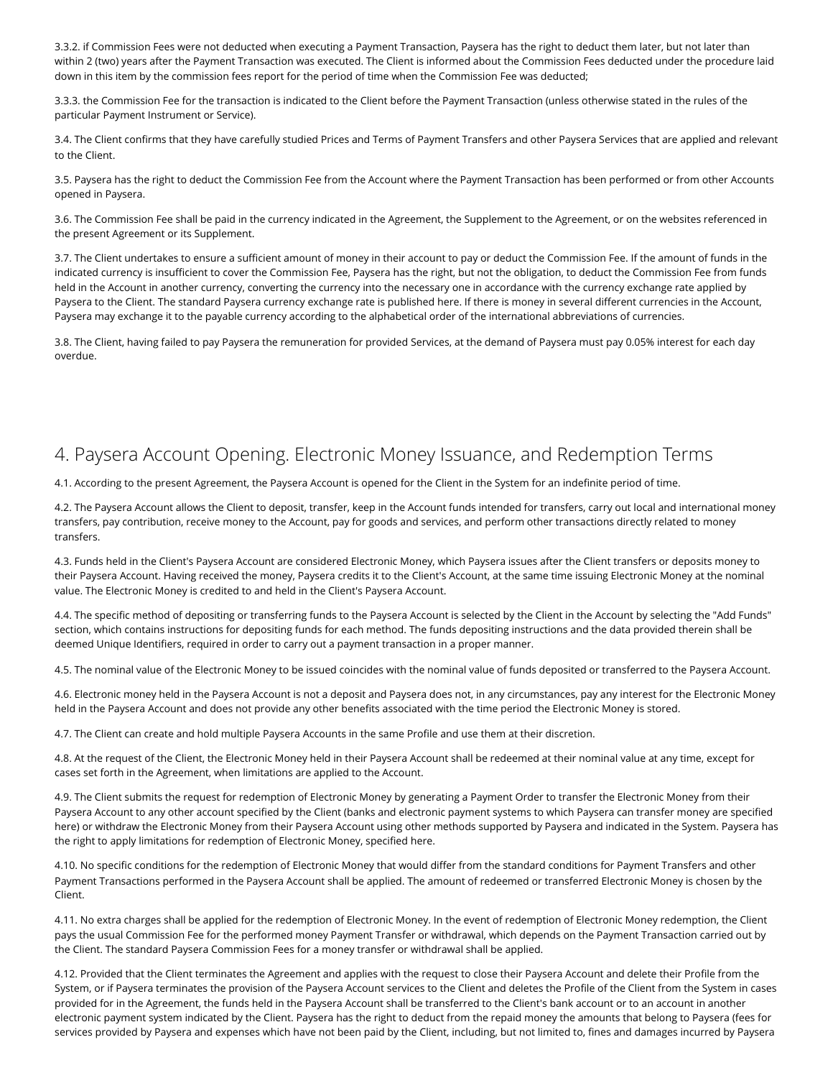3.3.2. if Commission Fees were not deducted when executing a Payment Transaction, Paysera has the right to deduct them later, but not later than within 2 (two) years after the Payment Transaction was executed. The Client is informed about the Commission Fees deducted under the procedure laid down in this item by the commission fees report for the period of time when the Commission Fee was deducted;

3.3.3. the Commission Fee for the transaction is indicated to the Client before the Payment Transaction (unless otherwise stated in the rules of the particular Payment Instrument or Service).

3.4. The Client confirms that they have carefully studied [Prices and Terms of Payment Transfers](https://www.paysera.lt/v2/en-LT/fees) and other Paysera Services that are applied and relevant to the Client.

3.5. Paysera has the right to deduct the Commission Fee from the Account where the Payment Transaction has been performed or from other Accounts opened in Paysera.

3.6. The Commission Fee shall be paid in the currency indicated in the Agreement, the Supplement to the Agreement, or on the websites referenced in the present Agreement or its Supplement.

3.7. The Client undertakes to ensure a sufficient amount of money in their account to pay or deduct the Commission Fee. If the amount of funds in the indicated currency is insufficient to cover the Commission Fee, Paysera has the right, but not the obligation, to deduct the Commission Fee from funds held in the Account in another currency, converting the currency into the necessary one in accordance with the currency exchange rate applied by Paysera to the Client. The standard Paysera currency exchange rate is published [here.](https://www.paysera.lt/v2/en-LT/fees/currency-conversion-calculator) If there is money in several different currencies in the Account, Paysera may exchange it to the payable currency according to the alphabetical order of the international abbreviations of currencies.

3.8. The Client, having failed to pay Paysera the remuneration for provided Services, at the demand of Paysera must pay 0.05% interest for each day overdue.

# 4. Paysera Account Opening. Electronic Money Issuance, and Redemption Terms

4.1. According to the present Agreement, the Paysera Account is opened for the Client in the System for an indefinite period of time.

4.2. The Paysera Account allows the Client to deposit, transfer, keep in the Account funds intended for transfers, carry out local and international money transfers, pay contribution, receive money to the Account, pay for goods and services, and perform other transactions directly related to money transfers.

4.3. Funds held in the Client's Paysera Account are considered Electronic Money, which Paysera issues after the Client transfers or deposits money to their Paysera Account. Having received the money, Paysera credits it to the Client's Account, at the same time issuing Electronic Money at the nominal value. The Electronic Money is credited to and held in the Client's Paysera Account.

4.4. The specific method of depositing or transferring funds to the Paysera Account is selected by the Client in the Account by selecting the "Add Funds" section, which contains instructions for depositing funds for each method. The funds depositing instructions and the data provided therein shall be deemed Unique Identifiers, required in order to carry out a payment transaction in a proper manner.

4.5. The nominal value of the Electronic Money to be issued coincides with the nominal value of funds deposited or transferred to the Paysera Account.

4.6. Electronic money held in the Paysera Account is not a deposit and Paysera does not, in any circumstances, pay any interest for the Electronic Money held in the Paysera Account and does not provide any other benefits associated with the time period the Electronic Money is stored.

4.7. The Client can create and hold multiple Paysera Accounts in the same Profile and use them at their discretion.

4.8. At the request of the Client, the Electronic Money held in their Paysera Account shall be redeemed at their nominal value at any time, except for cases set forth in the Agreement, when limitations are applied to the Account.

4.9. The Client submits the request for redemption of Electronic Money by generating a Payment Order to transfer the Electronic Money from their Paysera Account to any other account specified by the Client (banks and electronic payment systems to which Paysera can transfer money are specified [here](https://www.paysera.lt/v2/en-LT/fees)) or withdraw the Electronic Money from their Paysera Account using other methods supported by Paysera and indicated in the System. Paysera has the right to apply limitations for redemption of Electronic Money, specified [here.](https://www.paysera.lt/v2/en-LT/legal/redemption-limitations)

4.10. No specific conditions for the redemption of Electronic Money that would differ from the standard conditions for Payment Transfers and other Payment Transactions performed in the Paysera Account shall be applied. The amount of redeemed or transferred Electronic Money is chosen by the Client.

4.11. No extra charges shall be applied for the redemption of Electronic Money. In the event of redemption of Electronic Money redemption, the Client pays the usual Commission Fee for the performed money Payment Transfer or withdrawal, which depends on the Payment Transaction carried out by the Client. The standard Paysera Commission Fees for a money transfer or withdrawal shall be applied.

4.12. Provided that the Client terminates the Agreement and applies with the request to close their Paysera Account and delete their Profile from the System, or if Paysera terminates the provision of the Paysera Account services to the Client and deletes the Profile of the Client from the System in cases provided for in the Agreement, the funds held in the Paysera Account shall be transferred to the Client's bank account or to an account in another electronic payment system indicated by the Client. Paysera has the right to deduct from the repaid money the amounts that belong to Paysera (fees for services provided by Paysera and expenses which have not been paid by the Client, including, but not limited to, fines and damages incurred by Paysera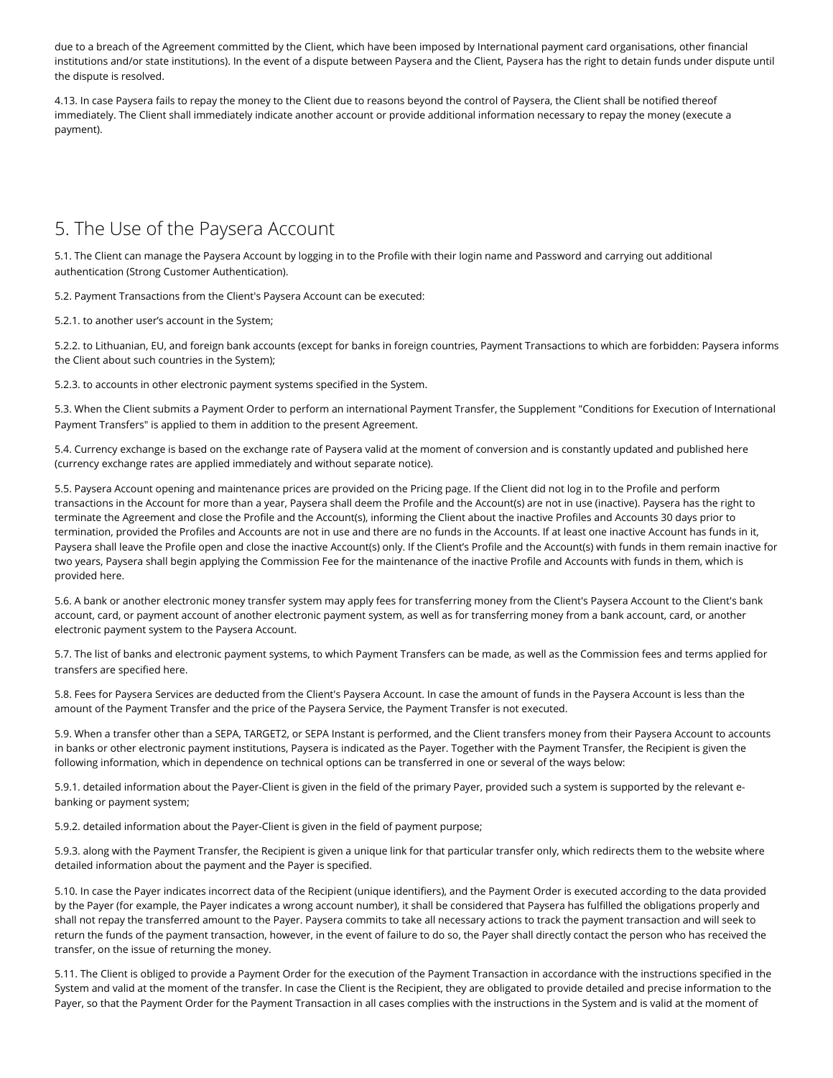due to a breach of the Agreement committed by the Client, which have been imposed by International payment card organisations, other financial institutions and/or state institutions). In the event of a dispute between Paysera and the Client, Paysera has the right to detain funds under dispute until the dispute is resolved.

4.13. In case Paysera fails to repay the money to the Client due to reasons beyond the control of Paysera, the Client shall be notified thereof immediately. The Client shall immediately indicate another account or provide additional information necessary to repay the money (execute a payment).

## 5. The Use of the Paysera Account

5.1. The Client can manage the Paysera Account by logging in to the Profile with their login name and Password and carrying out additional authentication (Strong Customer Authentication).

5.2. Payment Transactions from the Client's Paysera Account can be executed:

5.2.1. to another user's account in the System;

5.2.2. to Lithuanian, EU, and foreign bank accounts (except for banks in foreign countries, Payment Transactions to which are forbidden: Paysera informs the Client about such countries in the System);

5.2.3. to accounts in other electronic payment systems specified in the System.

[5.3. When the Client submits a Payment Order to perform an international Payment Transfer, the Supplement "Conditions for Execution of International](https://www.paysera.lt/v2/en-LT/legal/international-transfers) Payment Transfers" is applied to them in addition to the present Agreement.

5.4. Currency exchange is based on the exchange rate of Paysera valid at the moment of conversion and is constantly updated and published [here](https://www.paysera.lt/v2/en-LT/fees/currency-conversion-calculator) (currency exchange rates are applied immediately and without separate notice).

5.5. Paysera Account opening and maintenance prices are provided on [the Pricing page.](https://www.paysera.lt/v2/en-LT/fees) If the Client did not log in to the Profile and perform transactions in the Account for more than a year, Paysera shall deem the Profile and the Account(s) are not in use (inactive). Paysera has the right to terminate the Agreement and close the Profile and the Account(s), informing the Client about the inactive Profiles and Accounts 30 days prior to termination, provided the Profiles and Accounts are not in use and there are no funds in the Accounts. If at least one inactive Account has funds in it, Paysera shall leave the Profile open and close the inactive Account(s) only. If the Client's Profile and the Account(s) with funds in them remain inactive for two years, Paysera shall begin applying the Commission Fee for the maintenance of the inactive Profile and Accounts with funds in them, which is provided [here.](https://www.paysera.lt/v2/en-LT/fees/account-management-and-identification-private)

5.6. A bank or another electronic money transfer system may apply fees for transferring money from the Client's Paysera Account to the Client's bank account, card, or payment account of another electronic payment system, as well as for transferring money from a bank account, card, or another electronic payment system to the Paysera Account.

5.7. The list of banks and electronic payment systems, to which Payment Transfers can be made, as well as the Commission fees and terms applied for transfers are specified [here](https://www.paysera.lt/v2/en-LT/fees).

5.8. Fees for Paysera Services are deducted from the Client's Paysera Account. In case the amount of funds in the Paysera Account is less than the amount of the Payment Transfer and the price of the Paysera Service, the Payment Transfer is not executed.

5.9. When a transfer other than a SEPA, TARGET2, or SEPA Instant is performed, and the Client transfers money from their Paysera Account to accounts in banks or other electronic payment institutions, Paysera is indicated as the Payer. Together with the Payment Transfer, the Recipient is given the following information, which in dependence on technical options can be transferred in one or several of the ways below:

5.9.1. detailed information about the Payer-Client is given in the field of the primary Payer, provided such a system is supported by the relevant ebanking or payment system;

5.9.2. detailed information about the Payer-Client is given in the field of payment purpose;

5.9.3. along with the Payment Transfer, the Recipient is given a unique link for that particular transfer only, which redirects them to the website where detailed information about the payment and the Payer is specified.

5.10. In case the Payer indicates incorrect data of the Recipient (unique identifiers), and the Payment Order is executed according to the data provided by the Payer (for example, the Payer indicates a wrong account number), it shall be considered that Paysera has fulfilled the obligations properly and shall not repay the transferred amount to the Payer. Paysera commits to take all necessary actions to track the payment transaction and will seek to return the funds of the payment transaction, however, in the event of failure to do so, the Payer shall directly contact the person who has received the transfer, on the issue of returning the money.

5.11. The Client is obliged to provide a Payment Order for the execution of the Payment Transaction in accordance with the instructions specified in the System and valid at the moment of the transfer. In case the Client is the Recipient, they are obligated to provide detailed and precise information to the Payer, so that the Payment Order for the Payment Transaction in all cases complies with the instructions in the System and is valid at the moment of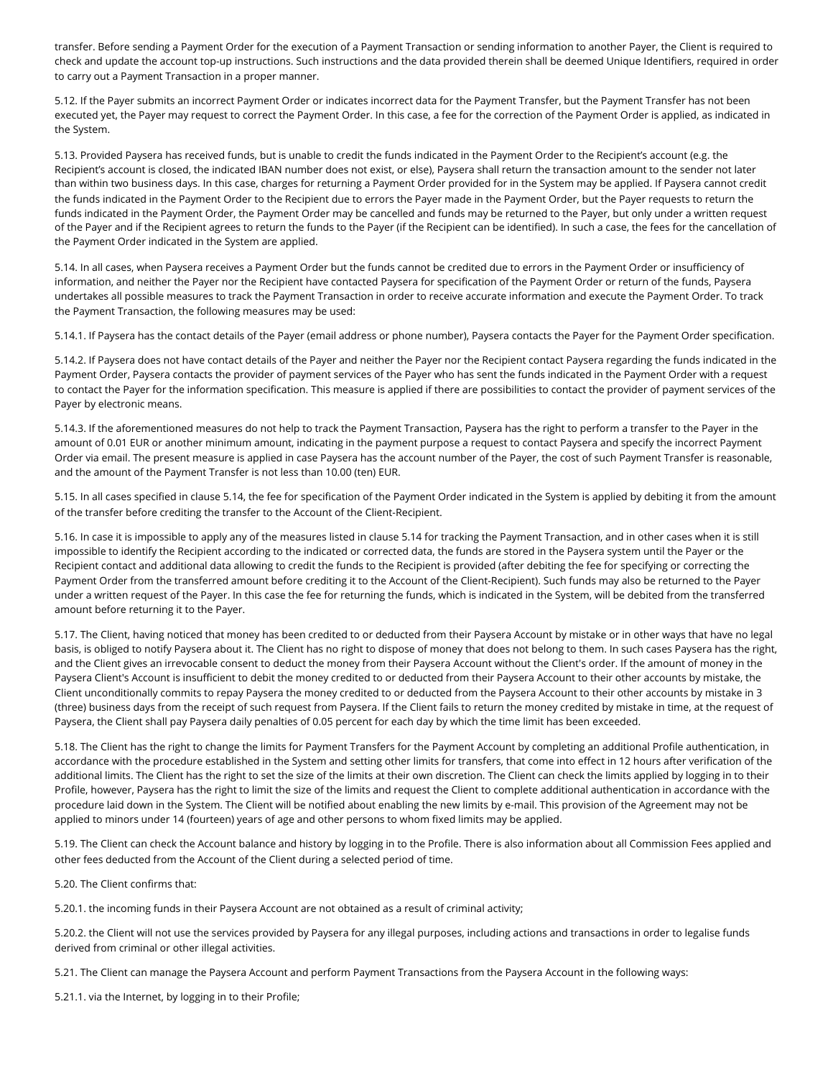transfer. Before sending a Payment Order for the execution of a Payment Transaction or sending information to another Payer, the Client is required to check and update the account top-up instructions. Such instructions and the data provided therein shall be deemed Unique Identifiers, required in order to carry out a Payment Transaction in a proper manner.

5.12. If the Payer submits an incorrect Payment Order or indicates incorrect data for the Payment Transfer, but the Payment Transfer has not been executed yet, the Payer may request to correct the Payment Order. In this case, a fee for the correction of the Payment Order is applied, as indicated in the System.

5.13. Provided Paysera has received funds, but is unable to credit the funds indicated in the Payment Order to the Recipient's account (e.g. the Recipient's account is closed, the indicated IBAN number does not exist, or else), Paysera shall return the transaction amount to the sender not later than within two business days. In this case, charges for returning a Payment Order provided for in the System may be applied. If Paysera cannot credit the funds indicated in the Payment Order to the Recipient due to errors the Payer made in the Payment Order, but the Payer requests to return the funds indicated in the Payment Order, the Payment Order may be cancelled and funds may be returned to the Payer, but only under a written request of the Payer and if the Recipient agrees to return the funds to the Payer (if the Recipient can be identified). In such a case, the fees for the cancellation of the Payment Order indicated in the System are applied.

5.14. In all cases, when Paysera receives a Payment Order but the funds cannot be credited due to errors in the Payment Order or insufficiency of information, and neither the Payer nor the Recipient have contacted Paysera for specification of the Payment Order or return of the funds, Paysera undertakes all possible measures to track the Payment Transaction in order to receive accurate information and execute the Payment Order. To track the Payment Transaction, the following measures may be used:

5.14.1. If Paysera has the contact details of the Payer (email address or phone number), Paysera contacts the Payer for the Payment Order specification.

5.14.2. If Paysera does not have contact details of the Payer and neither the Payer nor the Recipient contact Paysera regarding the funds indicated in the Payment Order, Paysera contacts the provider of payment services of the Payer who has sent the funds indicated in the Payment Order with a request to contact the Payer for the information specification. This measure is applied if there are possibilities to contact the provider of payment services of the Payer by electronic means.

5.14.3. If the aforementioned measures do not help to track the Payment Transaction, Paysera has the right to perform a transfer to the Payer in the amount of 0.01 EUR or another minimum amount, indicating in the payment purpose a request to contact Paysera and specify the incorrect Payment Order via email. The present measure is applied in case Paysera has the account number of the Payer, the cost of such Payment Transfer is reasonable, and the amount of the Payment Transfer is not less than 10.00 (ten) EUR.

5.15. In all cases specified in clause 5.14, the fee for specification of the Payment Order indicated in the System is applied by debiting it from the amount of the transfer before crediting the transfer to the Account of the Client-Recipient.

5.16. In case it is impossible to apply any of the measures listed in clause 5.14 for tracking the Payment Transaction, and in other cases when it is still impossible to identify the Recipient according to the indicated or corrected data, the funds are stored in the Paysera system until the Payer or the Recipient contact and additional data allowing to credit the funds to the Recipient is provided (after debiting the fee for specifying or correcting the Payment Order from the transferred amount before crediting it to the Account of the Client-Recipient). Such funds may also be returned to the Payer under a written request of the Payer. In this case the fee for returning the funds, which is indicated in the System, will be debited from the transferred amount before returning it to the Payer.

5.17. The Client, having noticed that money has been credited to or deducted from their Paysera Account by mistake or in other ways that have no legal basis, is obliged to notify Paysera about it. The Client has no right to dispose of money that does not belong to them. In such cases Paysera has the right, and the Client gives an irrevocable consent to deduct the money from their Paysera Account without the Client's order. If the amount of money in the Paysera Client's Account is insufficient to debit the money credited to or deducted from their Paysera Account to their other accounts by mistake, the Client unconditionally commits to repay Paysera the money credited to or deducted from the Paysera Account to their other accounts by mistake in 3 (three) business days from the receipt of such request from Paysera. If the Client fails to return the money credited by mistake in time, at the request of Paysera, the Client shall pay Paysera daily penalties of 0.05 percent for each day by which the time limit has been exceeded.

5.18. The Client has the right to change the limits for Payment Transfers for the Payment Account by completing an additional Profile authentication, in accordance with the procedure established in the System and setting other limits for transfers, that come into effect in 12 hours after verification of the additional limits. The Client has the right to set the size of the limits at their own discretion. The Client can check the limits applied by logging in to their Profile, however, Paysera has the right to limit the size of the limits and request the Client to complete additional authentication in accordance with the procedure laid down in the System. The Client will be notified about enabling the new limits by e-mail. This provision of the Agreement may not be applied to minors under 14 (fourteen) years of age and other persons to whom fixed limits may be applied.

5.19. The Client can check the Account balance and history by logging in to the Profile. There is also information about all Commission Fees applied and other fees deducted from the Account of the Client during a selected period of time.

5.20. The Client confirms that:

5.20.1. the incoming funds in their Paysera Account are not obtained as a result of criminal activity;

5.20.2. the Client will not use the services provided by Paysera for any illegal purposes, including actions and transactions in order to legalise funds derived from criminal or other illegal activities.

5.21. The Client can manage the Paysera Account and perform Payment Transactions from the Paysera Account in the following ways:

5.21.1. via the Internet, by logging in to their Profile;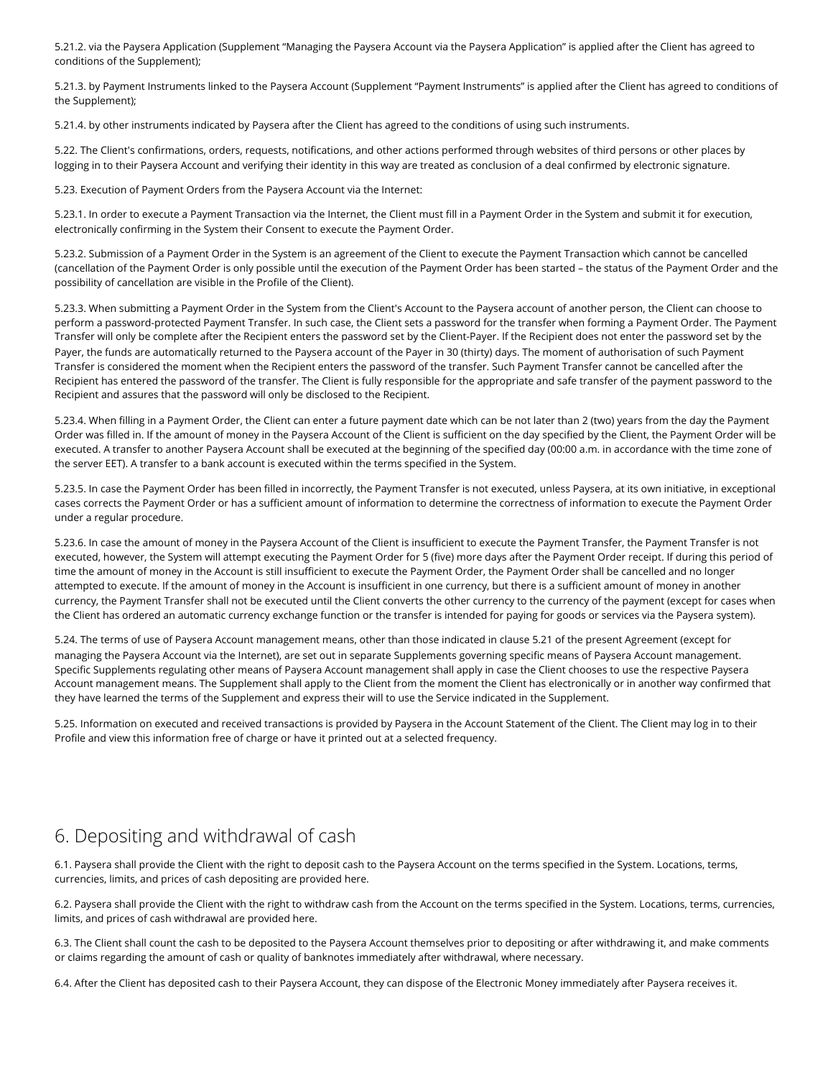5.21.2. via the Paysera Application (Supplement ["Managing the Paysera Account via the Paysera Application"](https://www.paysera.lt/v2/en-LT/legal/app-terms) is applied after the Client has agreed to conditions of the Supplement);

5.21.3. by Payment Instruments linked to the Paysera Account (Supplement ["Payment Instruments"](https://www.paysera.lt/v2/en-LT/legal/payment-instruments) is applied after the Client has agreed to conditions of the Supplement);

5.21.4. by other instruments indicated by Paysera after the Client has agreed to the conditions of using such instruments.

5.22. The Client's confirmations, orders, requests, notifications, and other actions performed through websites of third persons or other places by logging in to their Paysera Account and verifying their identity in this way are treated as conclusion of a deal confirmed by electronic signature.

5.23. Execution of Payment Orders from the Paysera Account via the Internet:

5.23.1. In order to execute a Payment Transaction via the Internet, the Client must fill in a Payment Order in the System and submit it for execution, electronically confirming in the System their Consent to execute the Payment Order.

5.23.2. Submission of a Payment Order in the System is an agreement of the Client to execute the Payment Transaction which cannot be cancelled (cancellation of the Payment Order is only possible until the execution of the Payment Order has been started – the status of the Payment Order and the possibility of cancellation are visible in the Profile of the Client).

5.23.3. When submitting a Payment Order in the System from the Client's Account to the Paysera account of another person, the Client can choose to perform a password-protected Payment Transfer. In such case, the Client sets a password for the transfer when forming a Payment Order. The Payment Transfer will only be complete after the Recipient enters the password set by the Client-Payer. If the Recipient does not enter the password set by the Payer, the funds are automatically returned to the Paysera account of the Payer in 30 (thirty) days. The moment of authorisation of such Payment Transfer is considered the moment when the Recipient enters the password of the transfer. Such Payment Transfer cannot be cancelled after the Recipient has entered the password of the transfer. The Client is fully responsible for the appropriate and safe transfer of the payment password to the Recipient and assures that the password will only be disclosed to the Recipient.

5.23.4. When filling in a Payment Order, the Client can enter a future payment date which can be not later than 2 (two) years from the day the Payment Order was filled in. If the amount of money in the Paysera Account of the Client is sufficient on the day specified by the Client, the Payment Order will be executed. A transfer to another Paysera Account shall be executed at the beginning of the specified day (00:00 a.m. in accordance with the time zone of the server EET). A transfer to a bank account is executed within the terms specified in the System.

5.23.5. In case the Payment Order has been filled in incorrectly, the Payment Transfer is not executed, unless Paysera, at its own initiative, in exceptional cases corrects the Payment Order or has a sufficient amount of information to determine the correctness of information to execute the Payment Order under a regular procedure.

5.23.6. In case the amount of money in the Paysera Account of the Client is insufficient to execute the Payment Transfer, the Payment Transfer is not executed, however, the System will attempt executing the Payment Order for 5 (five) more days after the Payment Order receipt. If during this period of time the amount of money in the Account is still insufficient to execute the Payment Order, the Payment Order shall be cancelled and no longer attempted to execute. If the amount of money in the Account is insufficient in one currency, but there is a sufficient amount of money in another currency, the Payment Transfer shall not be executed until the Client converts the other currency to the currency of the payment (except for cases when the Client has ordered an automatic currency exchange function or the transfer is intended for paying for goods or services via the Paysera system).

5.24. The terms of use of Paysera Account management means, other than those indicated in clause 5.21 of the present Agreement (except for managing the Paysera Account via the Internet), are set out in separate Supplements governing specific means of Paysera Account management. Specific Supplements regulating other means of Paysera Account management shall apply in case the Client chooses to use the respective Paysera Account management means. The Supplement shall apply to the Client from the moment the Client has electronically or in another way confirmed that they have learned the terms of the Supplement and express their will to use the Service indicated in the Supplement.

5.25. Information on executed and received transactions is provided by Paysera in the Account Statement of the Client. The Client may log in to their Profile and view this information free of charge or have it printed out at a selected frequency.

# 6. Depositing and withdrawal of cash

6.1. Paysera shall provide the Client with the right to deposit cash to the Paysera Account on the terms specified in the System. Locations, terms, currencies, limits, and prices of cash depositing are provided [here.](https://www.paysera.lt/v2/en-LT/fees/cash-operations)

6.2. Paysera shall provide the Client with the right to withdraw cash from the Account on the terms specified in the System. Locations, terms, currencies, limits, and prices of cash withdrawal are provided [here.](https://www.paysera.lt/v2/en-LT/fees/cash-operations)

6.3. The Client shall count the cash to be deposited to the Paysera Account themselves prior to depositing or after withdrawing it, and make comments or claims regarding the amount of cash or quality of banknotes immediately after withdrawal, where necessary.

6.4. After the Client has deposited cash to their Paysera Account, they can dispose of the Electronic Money immediately after Paysera receives it.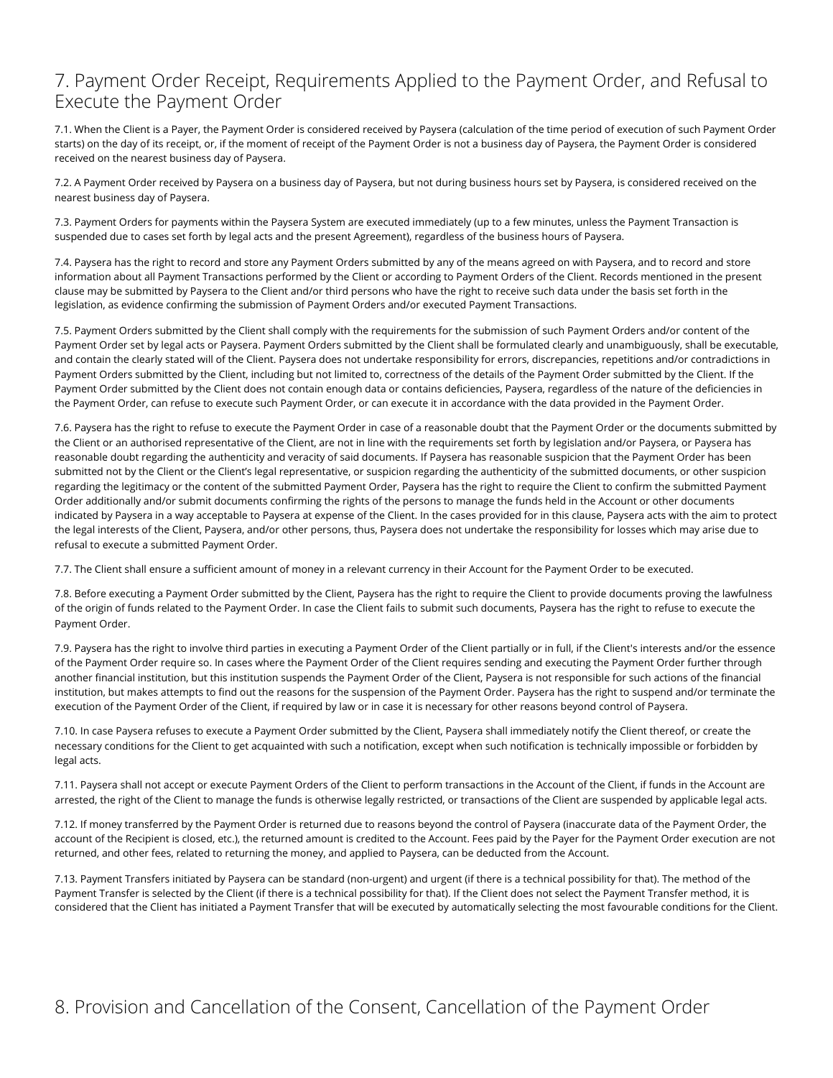#### 7. Payment Order Receipt, Requirements Applied to the Payment Order, and Refusal to Execute the Payment Order

7.1. When the Client is a Payer, the Payment Order is considered received by Paysera (calculation of the time period of execution of such Payment Order starts) on the day of its receipt, or, if the moment of receipt of the Payment Order is not a business day of Paysera, the Payment Order is considered received on the nearest business day of Paysera.

7.2. A Payment Order received by Paysera on a business day of Paysera, but not during business hours set by Paysera, is considered received on the nearest business day of Paysera.

7.3. Payment Orders for payments within the Paysera System are executed immediately (up to a few minutes, unless the Payment Transaction is suspended due to cases set forth by legal acts and the present Agreement), regardless of the business hours of Paysera.

7.4. Paysera has the right to record and store any Payment Orders submitted by any of the means agreed on with Paysera, and to record and store information about all Payment Transactions performed by the Client or according to Payment Orders of the Client. Records mentioned in the present clause may be submitted by Paysera to the Client and/or third persons who have the right to receive such data under the basis set forth in the legislation, as evidence confirming the submission of Payment Orders and/or executed Payment Transactions.

7.5. Payment Orders submitted by the Client shall comply with the requirements for the submission of such Payment Orders and/or content of the Payment Order set by legal acts or Paysera. Payment Orders submitted by the Client shall be formulated clearly and unambiguously, shall be executable, and contain the clearly stated will of the Client. Paysera does not undertake responsibility for errors, discrepancies, repetitions and/or contradictions in Payment Orders submitted by the Client, including but not limited to, correctness of the details of the Payment Order submitted by the Client. If the Payment Order submitted by the Client does not contain enough data or contains deficiencies, Paysera, regardless of the nature of the deficiencies in the Payment Order, can refuse to execute such Payment Order, or can execute it in accordance with the data provided in the Payment Order.

7.6. Paysera has the right to refuse to execute the Payment Order in case of a reasonable doubt that the Payment Order or the documents submitted by the Client or an authorised representative of the Client, are not in line with the requirements set forth by legislation and/or Paysera, or Paysera has reasonable doubt regarding the authenticity and veracity of said documents. If Paysera has reasonable suspicion that the Payment Order has been submitted not by the Client or the Client's legal representative, or suspicion regarding the authenticity of the submitted documents, or other suspicion regarding the legitimacy or the content of the submitted Payment Order, Paysera has the right to require the Client to confirm the submitted Payment Order additionally and/or submit documents confirming the rights of the persons to manage the funds held in the Account or other documents indicated by Paysera in a way acceptable to Paysera at expense of the Client. In the cases provided for in this clause, Paysera acts with the aim to protect the legal interests of the Client, Paysera, and/or other persons, thus, Paysera does not undertake the responsibility for losses which may arise due to refusal to execute a submitted Payment Order.

7.7. The Client shall ensure a sufficient amount of money in a relevant currency in their Account for the Payment Order to be executed.

7.8. Before executing a Payment Order submitted by the Client, Paysera has the right to require the Client to provide documents proving the lawfulness of the origin of funds related to the Payment Order. In case the Client fails to submit such documents, Paysera has the right to refuse to execute the Payment Order.

7.9. Paysera has the right to involve third parties in executing a Payment Order of the Client partially or in full, if the Client's interests and/or the essence of the Payment Order require so. In cases where the Payment Order of the Client requires sending and executing the Payment Order further through another financial institution, but this institution suspends the Payment Order of the Client, Paysera is not responsible for such actions of the financial institution, but makes attempts to find out the reasons for the suspension of the Payment Order. Paysera has the right to suspend and/or terminate the execution of the Payment Order of the Client, if required by law or in case it is necessary for other reasons beyond control of Paysera.

7.10. In case Paysera refuses to execute a Payment Order submitted by the Client, Paysera shall immediately notify the Client thereof, or create the necessary conditions for the Client to get acquainted with such a notification, except when such notification is technically impossible or forbidden by legal acts.

7.11. Paysera shall not accept or execute Payment Orders of the Client to perform transactions in the Account of the Client, if funds in the Account are arrested, the right of the Client to manage the funds is otherwise legally restricted, or transactions of the Client are suspended by applicable legal acts.

7.12. If money transferred by the Payment Order is returned due to reasons beyond the control of Paysera (inaccurate data of the Payment Order, the account of the Recipient is closed, etc.), the returned amount is credited to the Account. Fees paid by the Payer for the Payment Order execution are not returned, and other fees, related to returning the money, and applied to Paysera, can be deducted from the Account.

7.13. Payment Transfers initiated by Paysera can be standard (non-urgent) and urgent (if there is a technical possibility for that). The method of the Payment Transfer is selected by the Client (if there is a technical possibility for that). If the Client does not select the Payment Transfer method, it is considered that the Client has initiated a Payment Transfer that will be executed by automatically selecting the most favourable conditions for the Client.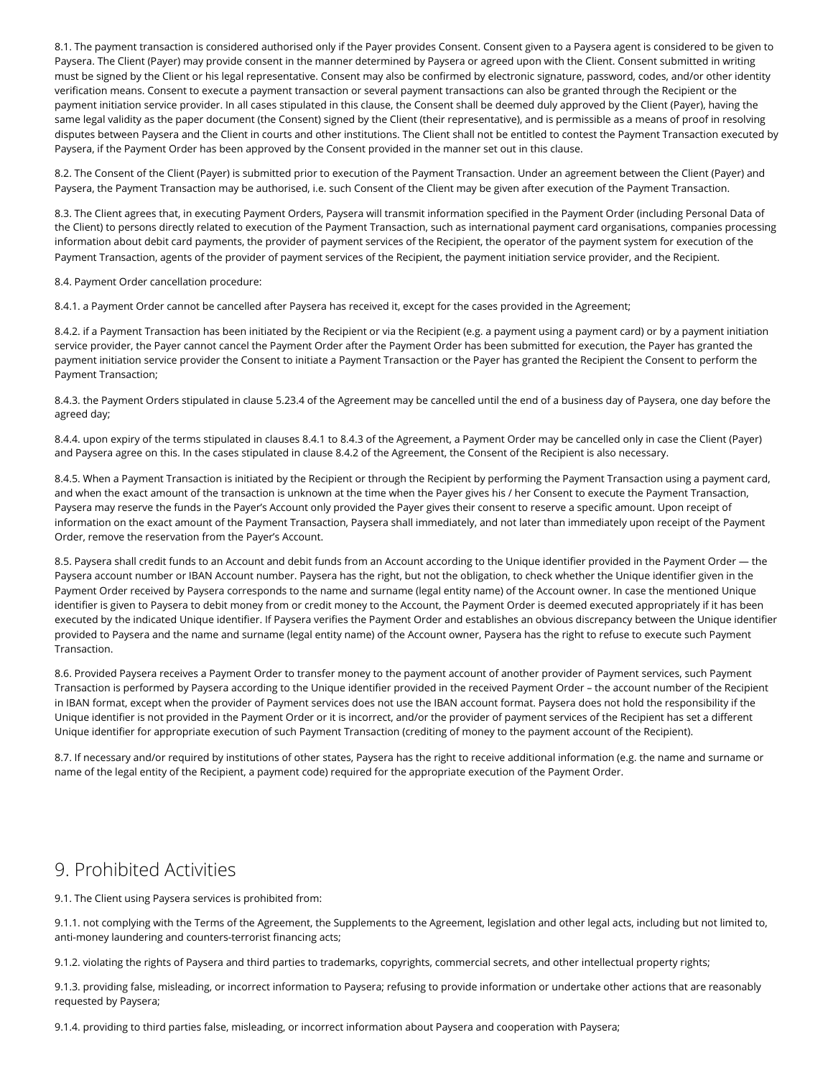8.1. The payment transaction is considered authorised only if the Payer provides Consent. Consent given to a Paysera agent is considered to be given to Paysera. The Client (Payer) may provide consent in the manner determined by Paysera or agreed upon with the Client. Consent submitted in writing must be signed by the Client or his legal representative. Consent may also be confirmed by electronic signature, password, codes, and/or other identity verification means. Consent to execute a payment transaction or several payment transactions can also be granted through the Recipient or the payment initiation service provider. In all cases stipulated in this clause, the Consent shall be deemed duly approved by the Client (Payer), having the same legal validity as the paper document (the Consent) signed by the Client (their representative), and is permissible as a means of proof in resolving disputes between Paysera and the Client in courts and other institutions. The Client shall not be entitled to contest the Payment Transaction executed by Paysera, if the Payment Order has been approved by the Consent provided in the manner set out in this clause.

8.2. The Consent of the Client (Payer) is submitted prior to execution of the Payment Transaction. Under an agreement between the Client (Payer) and Paysera, the Payment Transaction may be authorised, i.e. such Consent of the Client may be given after execution of the Payment Transaction.

8.3. The Client agrees that, in executing Payment Orders, Paysera will transmit information specified in the Payment Order (including Personal Data of the Client) to persons directly related to execution of the Payment Transaction, such as international payment card organisations, companies processing information about debit card payments, the provider of payment services of the Recipient, the operator of the payment system for execution of the Payment Transaction, agents of the provider of payment services of the Recipient, the payment initiation service provider, and the Recipient.

8.4. Payment Order cancellation procedure:

8.4.1. a Payment Order cannot be cancelled after Paysera has received it, except for the cases provided in the Agreement;

8.4.2. if a Payment Transaction has been initiated by the Recipient or via the Recipient (e.g. a payment using a payment card) or by a payment initiation service provider, the Payer cannot cancel the Payment Order after the Payment Order has been submitted for execution, the Payer has granted the payment initiation service provider the Consent to initiate a Payment Transaction or the Payer has granted the Recipient the Consent to perform the Payment Transaction;

8.4.3. the Payment Orders stipulated in clause 5.23.4 of the Agreement may be cancelled until the end of a business day of Paysera, one day before the agreed day;

8.4.4. upon expiry of the terms stipulated in clauses 8.4.1 to 8.4.3 of the Agreement, a Payment Order may be cancelled only in case the Client (Payer) and Paysera agree on this. In the cases stipulated in clause 8.4.2 of the Agreement, the Consent of the Recipient is also necessary.

8.4.5. When a Payment Transaction is initiated by the Recipient or through the Recipient by performing the Payment Transaction using a payment card, and when the exact amount of the transaction is unknown at the time when the Payer gives his / her Consent to execute the Payment Transaction, Paysera may reserve the funds in the Payer's Account only provided the Payer gives their consent to reserve a specific amount. Upon receipt of information on the exact amount of the Payment Transaction, Paysera shall immediately, and not later than immediately upon receipt of the Payment Order, remove the reservation from the Payer's Account.

8.5. Paysera shall credit funds to an Account and debit funds from an Account according to the Unique identifier provided in the Payment Order — the Paysera account number or IBAN Account number. Paysera has the right, but not the obligation, to check whether the Unique identifier given in the Payment Order received by Paysera corresponds to the name and surname (legal entity name) of the Account owner. In case the mentioned Unique identifier is given to Paysera to debit money from or credit money to the Account, the Payment Order is deemed executed appropriately if it has been executed by the indicated Unique identifier. If Paysera verifies the Payment Order and establishes an obvious discrepancy between the Unique identifier provided to Paysera and the name and surname (legal entity name) of the Account owner, Paysera has the right to refuse to execute such Payment Transaction.

8.6. Provided Paysera receives a Payment Order to transfer money to the payment account of another provider of Payment services, such Payment Transaction is performed by Paysera according to the Unique identifier provided in the received Payment Order – the account number of the Recipient in IBAN format, except when the provider of Payment services does not use the IBAN account format. Paysera does not hold the responsibility if the Unique identifier is not provided in the Payment Order or it is incorrect, and/or the provider of payment services of the Recipient has set a different Unique identifier for appropriate execution of such Payment Transaction (crediting of money to the payment account of the Recipient).

8.7. If necessary and/or required by institutions of other states, Paysera has the right to receive additional information (e.g. the name and surname or name of the legal entity of the Recipient, a payment code) required for the appropriate execution of the Payment Order.

#### 9. Prohibited Activities

9.1. The Client using Paysera services is prohibited from:

9.1.1. not complying with the Terms of the Agreement, the Supplements to the Agreement, legislation and other legal acts, including but not limited to, anti-money laundering and counters-terrorist financing acts;

9.1.2. violating the rights of Paysera and third parties to trademarks, copyrights, commercial secrets, and other intellectual property rights;

9.1.3. providing false, misleading, or incorrect information to Paysera; refusing to provide information or undertake other actions that are reasonably requested by Paysera;

9.1.4. providing to third parties false, misleading, or incorrect information about Paysera and cooperation with Paysera;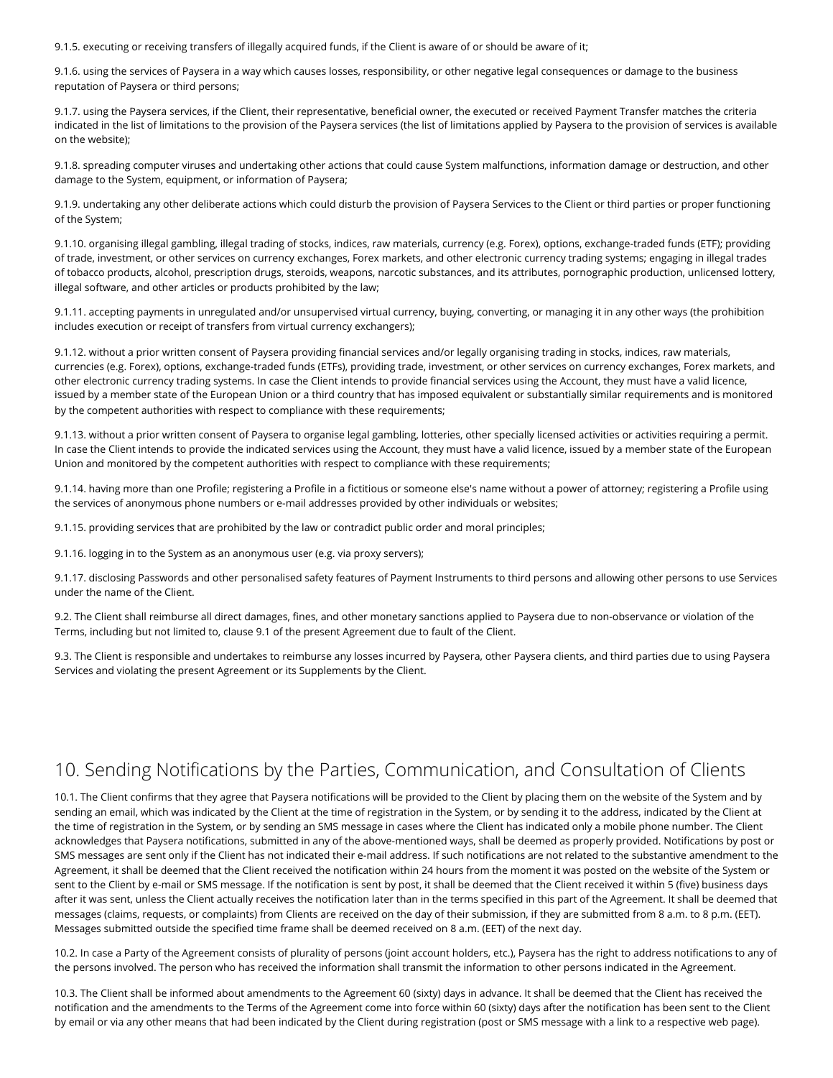9.1.5. executing or receiving transfers of illegally acquired funds, if the Client is aware of or should be aware of it;

9.1.6. using the services of Paysera in a way which causes losses, responsibility, or other negative legal consequences or damage to the business reputation of Paysera or third persons;

9.1.7. using the Paysera services, if the Client, their representative, beneficial owner, the executed or received Payment Transfer matches the criteria indicated in the list of limitations to the provision of the Paysera services (the list of limitations applied by Paysera to the provision of services is available on [the website\)](https://www.paysera.lt/v2/en-LT/legal/redemption-limitations);

9.1.8. spreading computer viruses and undertaking other actions that could cause System malfunctions, information damage or destruction, and other damage to the System, equipment, or information of Paysera;

9.1.9. undertaking any other deliberate actions which could disturb the provision of Paysera Services to the Client or third parties or proper functioning of the System;

9.1.10. organising illegal gambling, illegal trading of stocks, indices, raw materials, currency (e.g. Forex), options, exchange-traded funds (ETF); providing of trade, investment, or other services on currency exchanges, Forex markets, and other electronic currency trading systems; engaging in illegal trades of tobacco products, alcohol, prescription drugs, steroids, weapons, narcotic substances, and its attributes, pornographic production, unlicensed lottery, illegal software, and other articles or products prohibited by the law;

9.1.11. accepting payments in unregulated and/or unsupervised virtual currency, buying, converting, or managing it in any other ways (the prohibition includes execution or receipt of transfers from virtual currency exchangers);

9.1.12. without a prior written consent of Paysera providing financial services and/or legally organising trading in stocks, indices, raw materials, currencies (e.g. Forex), options, exchange-traded funds (ETFs), providing trade, investment, or other services on currency exchanges, Forex markets, and other electronic currency trading systems. In case the Client intends to provide financial services using the Account, they must have a valid licence, issued by a member state of the European Union or a third country that has imposed equivalent or substantially similar requirements and is monitored by the competent authorities with respect to compliance with these requirements;

9.1.13. without a prior written consent of Paysera to organise legal gambling, lotteries, other specially licensed activities or activities requiring a permit. In case the Client intends to provide the indicated services using the Account, they must have a valid licence, issued by a member state of the European Union and monitored by the competent authorities with respect to compliance with these requirements;

9.1.14. having more than one Profile; registering a Profile in a fictitious or someone else's name without a power of attorney; registering a Profile using the services of anonymous phone numbers or e-mail addresses provided by other individuals or websites;

9.1.15. providing services that are prohibited by the law or contradict public order and moral principles;

9.1.16. logging in to the System as an anonymous user (e.g. via proxy servers);

9.1.17. disclosing Passwords and other personalised safety features of Payment Instruments to third persons and allowing other persons to use Services under the name of the Client.

9.2. The Client shall reimburse all direct damages, fines, and other monetary sanctions applied to Paysera due to non-observance or violation of the Terms, including but not limited to, clause 9.1 of the present Agreement due to fault of the Client.

9.3. The Client is responsible and undertakes to reimburse any losses incurred by Paysera, other Paysera clients, and third parties due to using Paysera Services and violating the present Agreement or its Supplements by the Client.

# 10. Sending Notifications by the Parties, Communication, and Consultation of Clients

10.1. The Client confirms that they agree that Paysera notifications will be provided to the Client by placing them on the website of the System and by sending an email, which was indicated by the Client at the time of registration in the System, or by sending it to the address, indicated by the Client at the time of registration in the System, or by sending an SMS message in cases where the Client has indicated only a mobile phone number. The Client acknowledges that Paysera notifications, submitted in any of the above-mentioned ways, shall be deemed as properly provided. Notifications by post or SMS messages are sent only if the Client has not indicated their e-mail address. If such notifications are not related to the substantive amendment to the Agreement, it shall be deemed that the Client received the notification within 24 hours from the moment it was posted on the website of the System or sent to the Client by e-mail or SMS message. If the notification is sent by post, it shall be deemed that the Client received it within 5 (five) business days after it was sent, unless the Client actually receives the notification later than in the terms specified in this part of the Agreement. It shall be deemed that messages (claims, requests, or complaints) from Clients are received on the day of their submission, if they are submitted from 8 a.m. to 8 p.m. (EET). Messages submitted outside the specified time frame shall be deemed received on 8 a.m. (EET) of the next day.

10.2. In case a Party of the Agreement consists of plurality of persons (joint account holders, etc.), Paysera has the right to address notifications to any of the persons involved. The person who has received the information shall transmit the information to other persons indicated in the Agreement.

10.3. The Client shall be informed about amendments to the Agreement 60 (sixty) days in advance. It shall be deemed that the Client has received the notification and the amendments to the Terms of the Agreement come into force within 60 (sixty) days after the notification has been sent to the Client by email or via any other means that had been indicated by the Client during registration (post or SMS message with a link to a respective web page).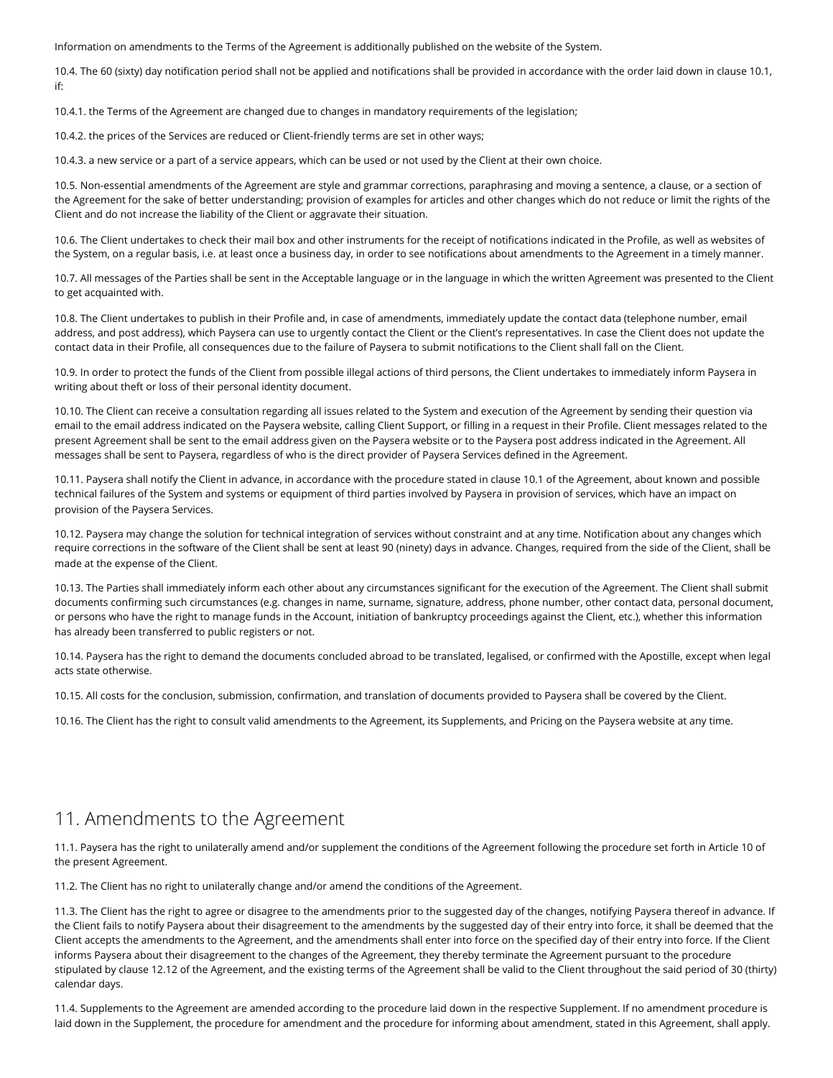Information on amendments to the Terms of the Agreement is additionally published on the website of the System.

10.4. The 60 (sixty) day notification period shall not be applied and notifications shall be provided in accordance with the order laid down in clause 10.1, if:

10.4.1. the Terms of the Agreement are changed due to changes in mandatory requirements of the legislation;

10.4.2. the prices of the Services are reduced or Client-friendly terms are set in other ways;

10.4.3. a new service or a part of a service appears, which can be used or not used by the Client at their own choice.

10.5. Non-essential amendments of the Agreement are style and grammar corrections, paraphrasing and moving a sentence, a clause, or a section of the Agreement for the sake of better understanding; provision of examples for articles and other changes which do not reduce or limit the rights of the Client and do not increase the liability of the Client or aggravate their situation.

10.6. The Client undertakes to check their mail box and other instruments for the receipt of notifications indicated in the Profile, as well as websites of the System, on a regular basis, i.e. at least once a business day, in order to see notifications about amendments to the Agreement in a timely manner.

10.7. All messages of the Parties shall be sent in the Acceptable language or in the language in which the written Agreement was presented to the Client to get acquainted with.

10.8. The Client undertakes to publish in their Profile and, in case of amendments, immediately update the contact data (telephone number, email address, and post address), which Paysera can use to urgently contact the Client or the Client's representatives. In case the Client does not update the contact data in their Profile, all consequences due to the failure of Paysera to submit notifications to the Client shall fall on the Client.

10.9. In order to protect the funds of the Client from possible illegal actions of third persons, the Client undertakes to immediately inform Paysera in writing about theft or loss of their personal identity document.

10.10. The Client can receive a consultation regarding all issues related to the System and execution of the Agreement by sending their question via email to the email address indicated on the Paysera website, calling Client Support, or filling in a request in their Profile. Client messages related to the present Agreement shall be sent to the email address given on the Paysera website or to the Paysera post address indicated in the Agreement. All messages shall be sent to Paysera, regardless of who is the direct provider of Paysera Services defined in the Agreement.

10.11. Paysera shall notify the Client in advance, in accordance with the procedure stated in clause 10.1 of the Agreement, about known and possible technical failures of the System and systems or equipment of third parties involved by Paysera in provision of services, which have an impact on provision of the Paysera Services.

10.12. Paysera may change the solution for technical integration of services without constraint and at any time. Notification about any changes which require corrections in the software of the Client shall be sent at least 90 (ninety) days in advance. Changes, required from the side of the Client, shall be made at the expense of the Client.

10.13. The Parties shall immediately inform each other about any circumstances significant for the execution of the Agreement. The Client shall submit documents confirming such circumstances (e.g. changes in name, surname, signature, address, phone number, other contact data, personal document, or persons who have the right to manage funds in the Account, initiation of bankruptcy proceedings against the Client, etc.), whether this information has already been transferred to public registers or not.

10.14. Paysera has the right to demand the documents concluded abroad to be translated, legalised, or confirmed with the Apostille, except when legal acts state otherwise.

10.15. All costs for the conclusion, submission, confirmation, and translation of documents provided to Paysera shall be covered by the Client.

10.16. The Client has the right to consult valid amendments to the Agreement, its Supplements, and Pricing on the Paysera website at any time.

#### 11. Amendments to the Agreement

11.1. Paysera has the right to unilaterally amend and/or supplement the conditions of the Agreement following the procedure set forth in Article 10 of the present Agreement.

11.2. The Client has no right to unilaterally change and/or amend the conditions of the Agreement.

11.3. The Client has the right to agree or disagree to the amendments prior to the suggested day of the changes, notifying Paysera thereof in advance. If the Client fails to notify Paysera about their disagreement to the amendments by the suggested day of their entry into force, it shall be deemed that the Client accepts the amendments to the Agreement, and the amendments shall enter into force on the specified day of their entry into force. If the Client informs Paysera about their disagreement to the changes of the Agreement, they thereby terminate the Agreement pursuant to the procedure stipulated by clause 12.12 of the Agreement, and the existing terms of the Agreement shall be valid to the Client throughout the said period of 30 (thirty) calendar days.

11.4. Supplements to the Agreement are amended according to the procedure laid down in the respective Supplement. If no amendment procedure is laid down in the Supplement, the procedure for amendment and the procedure for informing about amendment, stated in this Agreement, shall apply.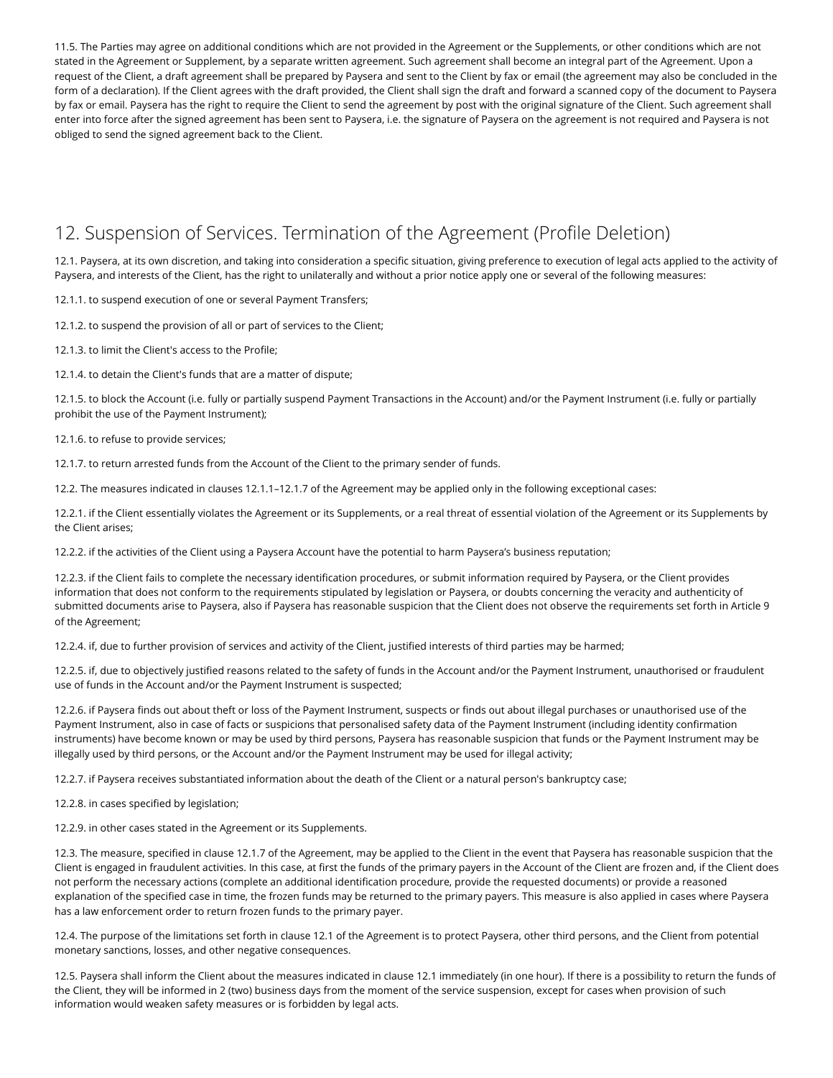11.5. The Parties may agree on additional conditions which are not provided in the Agreement or the Supplements, or other conditions which are not stated in the Agreement or Supplement, by a separate written agreement. Such agreement shall become an integral part of the Agreement. Upon a request of the Client, a draft agreement shall be prepared by Paysera and sent to the Client by fax or email (the agreement may also be concluded in the form of a declaration). If the Client agrees with the draft provided, the Client shall sign the draft and forward a scanned copy of the document to Paysera by fax or email. Paysera has the right to require the Client to send the agreement by post with the original signature of the Client. Such agreement shall enter into force after the signed agreement has been sent to Paysera, i.e. the signature of Paysera on the agreement is not required and Paysera is not obliged to send the signed agreement back to the Client.

# 12. Suspension of Services. Termination of the Agreement (Profile Deletion)

12.1. Paysera, at its own discretion, and taking into consideration a specific situation, giving preference to execution of legal acts applied to the activity of Paysera, and interests of the Client, has the right to unilaterally and without a prior notice apply one or several of the following measures:

12.1.1. to suspend execution of one or several Payment Transfers;

12.1.2. to suspend the provision of all or part of services to the Client;

- 12.1.3. to limit the Client's access to the Profile;
- 12.1.4. to detain the Client's funds that are a matter of dispute;

12.1.5. to block the Account (i.e. fully or partially suspend Payment Transactions in the Account) and/or the Payment Instrument (i.e. fully or partially prohibit the use of the Payment Instrument);

#### 12.1.6. to refuse to provide services;

12.1.7. to return arrested funds from the Account of the Client to the primary sender of funds.

12.2. The measures indicated in clauses 12.1.1–12.1.7 of the Agreement may be applied only in the following exceptional cases:

12.2.1. if the Client essentially violates the Agreement or its Supplements, or a real threat of essential violation of the Agreement or its Supplements by the Client arises;

12.2.2. if the activities of the Client using a Paysera Account have the potential to harm Paysera's business reputation;

12.2.3. if the Client fails to complete the necessary identification procedures, or submit information required by Paysera, or the Client provides information that does not conform to the requirements stipulated by legislation or Paysera, or doubts concerning the veracity and authenticity of submitted documents arise to Paysera, also if Paysera has reasonable suspicion that the Client does not observe the requirements set forth in Article 9 of the Agreement;

12.2.4. if, due to further provision of services and activity of the Client, justified interests of third parties may be harmed;

12.2.5. if, due to objectively justified reasons related to the safety of funds in the Account and/or the Payment Instrument, unauthorised or fraudulent use of funds in the Account and/or the Payment Instrument is suspected;

12.2.6. if Paysera finds out about theft or loss of the Payment Instrument, suspects or finds out about illegal purchases or unauthorised use of the Payment Instrument, also in case of facts or suspicions that personalised safety data of the Payment Instrument (including identity confirmation instruments) have become known or may be used by third persons, Paysera has reasonable suspicion that funds or the Payment Instrument may be illegally used by third persons, or the Account and/or the Payment Instrument may be used for illegal activity;

12.2.7. if Paysera receives substantiated information about the death of the Client or a natural person's bankruptcy case;

12.2.8. in cases specified by legislation;

12.2.9. in other cases stated in the Agreement or its Supplements.

12.3. The measure, specified in clause 12.1.7 of the Agreement, may be applied to the Client in the event that Paysera has reasonable suspicion that the Client is engaged in fraudulent activities. In this case, at first the funds of the primary payers in the Account of the Client are frozen and, if the Client does not perform the necessary actions (complete an additional identification procedure, provide the requested documents) or provide a reasoned explanation of the specified case in time, the frozen funds may be returned to the primary payers. This measure is also applied in cases where Paysera has a law enforcement order to return frozen funds to the primary payer.

12.4. The purpose of the limitations set forth in clause 12.1 of the Agreement is to protect Paysera, other third persons, and the Client from potential monetary sanctions, losses, and other negative consequences.

12.5. Paysera shall inform the Client about the measures indicated in clause 12.1 immediately (in one hour). If there is a possibility to return the funds of the Client, they will be informed in 2 (two) business days from the moment of the service suspension, except for cases when provision of such information would weaken safety measures or is forbidden by legal acts.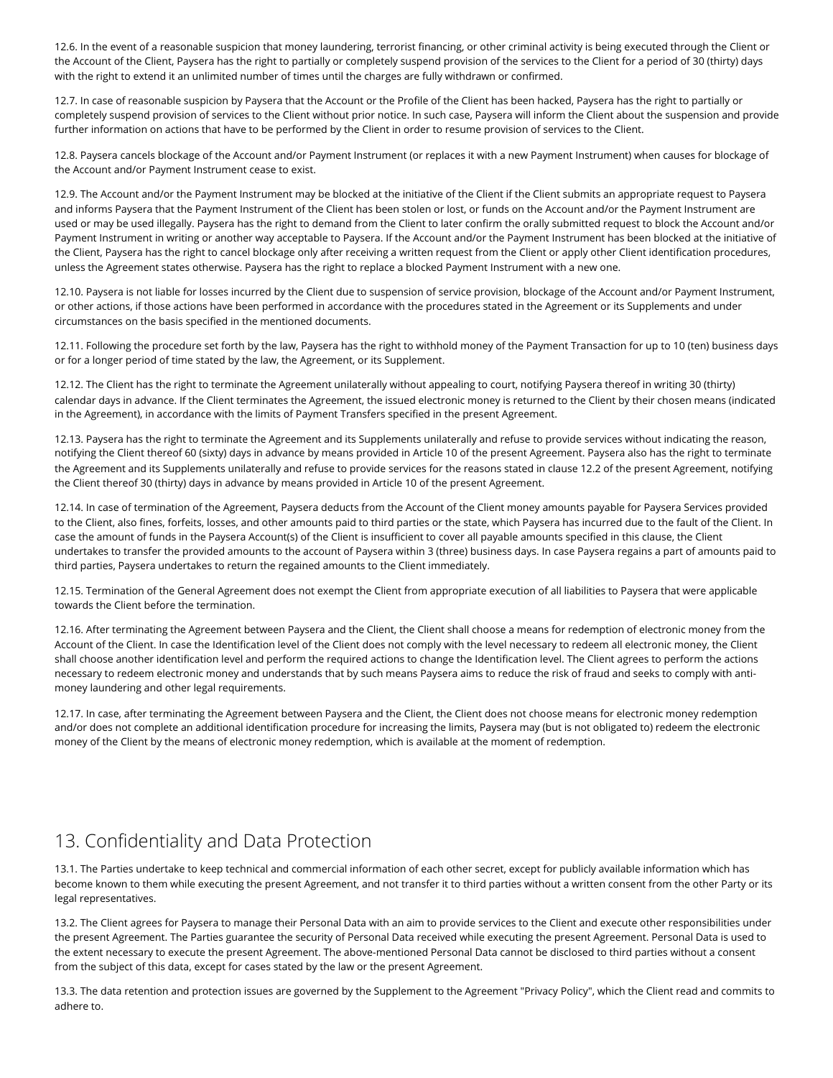12.6. In the event of a reasonable suspicion that money laundering, terrorist financing, or other criminal activity is being executed through the Client or the Account of the Client, Paysera has the right to partially or completely suspend provision of the services to the Client for a period of 30 (thirty) days with the right to extend it an unlimited number of times until the charges are fully withdrawn or confirmed.

12.7. In case of reasonable suspicion by Paysera that the Account or the Profile of the Client has been hacked, Paysera has the right to partially or completely suspend provision of services to the Client without prior notice. In such case, Paysera will inform the Client about the suspension and provide further information on actions that have to be performed by the Client in order to resume provision of services to the Client.

12.8. Paysera cancels blockage of the Account and/or Payment Instrument (or replaces it with a new Payment Instrument) when causes for blockage of the Account and/or Payment Instrument cease to exist.

12.9. The Account and/or the Payment Instrument may be blocked at the initiative of the Client if the Client submits an appropriate request to Paysera and informs Paysera that the Payment Instrument of the Client has been stolen or lost, or funds on the Account and/or the Payment Instrument are used or may be used illegally. Paysera has the right to demand from the Client to later confirm the orally submitted request to block the Account and/or Payment Instrument in writing or another way acceptable to Paysera. If the Account and/or the Payment Instrument has been blocked at the initiative of the Client, Paysera has the right to cancel blockage only after receiving a written request from the Client or apply other Client identification procedures, unless the Agreement states otherwise. Paysera has the right to replace a blocked Payment Instrument with a new one.

12.10. Paysera is not liable for losses incurred by the Client due to suspension of service provision, blockage of the Account and/or Payment Instrument, or other actions, if those actions have been performed in accordance with the procedures stated in the Agreement or its Supplements and under circumstances on the basis specified in the mentioned documents.

12.11. Following the procedure set forth by the law, Paysera has the right to withhold money of the Payment Transaction for up to 10 (ten) business days or for a longer period of time stated by the law, the Agreement, or its Supplement.

12.12. The Client has the right to terminate the Agreement unilaterally without appealing to court, notifying Paysera thereof in writing 30 (thirty) calendar days in advance. If the Client terminates the Agreement, the issued electronic money is returned to the Client by their chosen means (indicated in the Agreement), in accordance with the limits of Payment Transfers specified in the present Agreement.

12.13. Paysera has the right to terminate the Agreement and its Supplements unilaterally and refuse to provide services without indicating the reason, notifying the Client thereof 60 (sixty) days in advance by means provided in Article 10 of the present Agreement. Paysera also has the right to terminate the Agreement and its Supplements unilaterally and refuse to provide services for the reasons stated in clause 12.2 of the present Agreement, notifying the Client thereof 30 (thirty) days in advance by means provided in Article 10 of the present Agreement.

12.14. In case of termination of the Agreement, Paysera deducts from the Account of the Client money amounts payable for Paysera Services provided to the Client, also fines, forfeits, losses, and other amounts paid to third parties or the state, which Paysera has incurred due to the fault of the Client. In case the amount of funds in the Paysera Account(s) of the Client is insufficient to cover all payable amounts specified in this clause, the Client undertakes to transfer the provided amounts to the account of Paysera within 3 (three) business days. In case Paysera regains a part of amounts paid to third parties, Paysera undertakes to return the regained amounts to the Client immediately.

12.15. Termination of the General Agreement does not exempt the Client from appropriate execution of all liabilities to Paysera that were applicable towards the Client before the termination.

12.16. After terminating the Agreement between Paysera and the Client, the Client shall choose a means for redemption of electronic money from the Account of the Client. In case the Identification level of the Client does not comply with the level necessary to redeem all electronic money, the Client shall choose another identification level and perform the required actions to change the Identification level. The Client agrees to perform the actions necessary to redeem electronic money and understands that by such means Paysera aims to reduce the risk of fraud and seeks to comply with antimoney laundering and other legal requirements.

12.17. In case, after terminating the Agreement between Paysera and the Client, the Client does not choose means for electronic money redemption and/or does not complete an additional identification procedure for increasing the limits, Paysera may (but is not obligated to) redeem the electronic money of the Client by the means of electronic money redemption, which is available at the moment of redemption.

# 13. Confidentiality and Data Protection

13.1. The Parties undertake to keep technical and commercial information of each other secret, except for publicly available information which has become known to them while executing the present Agreement, and not transfer it to third parties without a written consent from the other Party or its legal representatives.

13.2. The Client agrees for Paysera to manage their Personal Data with an aim to provide services to the Client and execute other responsibilities under the present Agreement. The Parties guarantee the security of Personal Data received while executing the present Agreement. Personal Data is used to the extent necessary to execute the present Agreement. The above-mentioned Personal Data cannot be disclosed to third parties without a consent from the subject of this data, except for cases stated by the law or the present Agreement.

13.3. The data retention and protection issues are governed by the Supplement to the Agreement ["Privacy Policy",](https://www.paysera.lt/v2/en-LT/legal/privacy-policy-2020) which the Client read and commits to adhere to.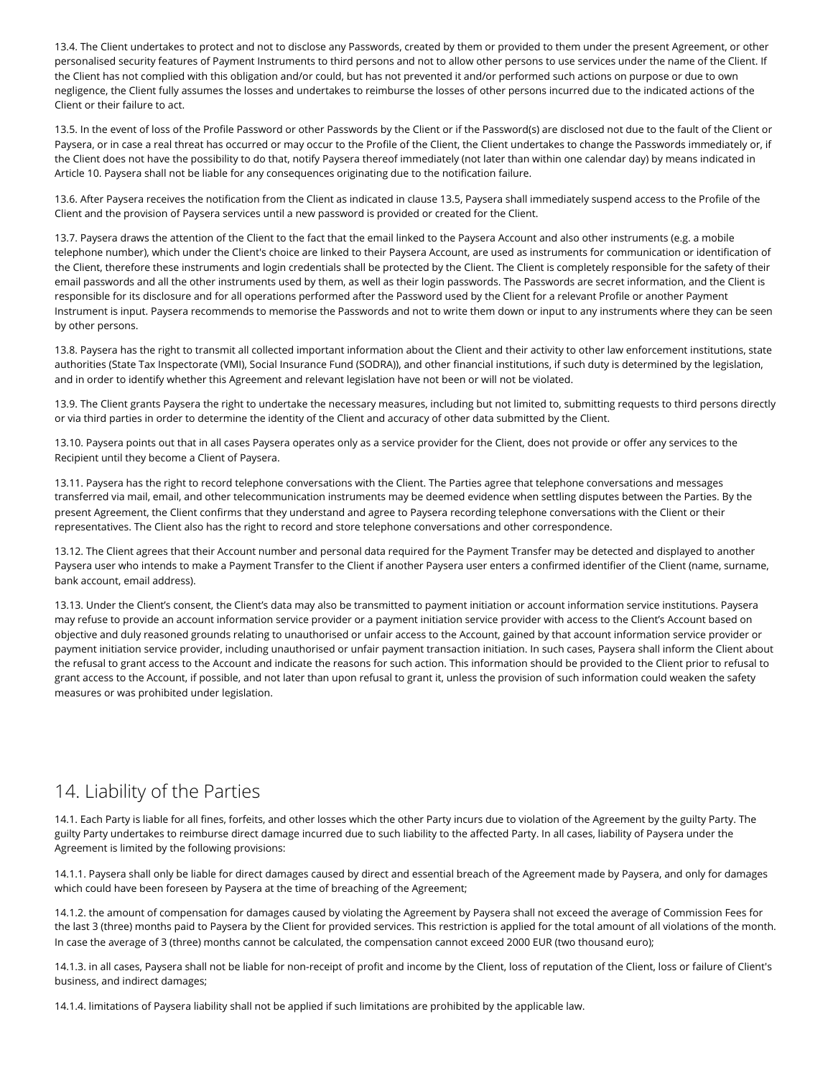13.4. The Client undertakes to protect and not to disclose any Passwords, created by them or provided to them under the present Agreement, or other personalised security features of Payment Instruments to third persons and not to allow other persons to use services under the name of the Client. If the Client has not complied with this obligation and/or could, but has not prevented it and/or performed such actions on purpose or due to own negligence, the Client fully assumes the losses and undertakes to reimburse the losses of other persons incurred due to the indicated actions of the Client or their failure to act.

13.5. In the event of loss of the Profile Password or other Passwords by the Client or if the Password(s) are disclosed not due to the fault of the Client or Paysera, or in case a real threat has occurred or may occur to the Profile of the Client, the Client undertakes to change the Passwords immediately or, if the Client does not have the possibility to do that, notify Paysera thereof immediately (not later than within one calendar day) by means indicated in Article 10. Paysera shall not be liable for any consequences originating due to the notification failure.

13.6. After Paysera receives the notification from the Client as indicated in clause 13.5, Paysera shall immediately suspend access to the Profile of the Client and the provision of Paysera services until a new password is provided or created for the Client.

13.7. Paysera draws the attention of the Client to the fact that the email linked to the Paysera Account and also other instruments (e.g. a mobile telephone number), which under the Client's choice are linked to their Paysera Account, are used as instruments for communication or identification of the Client, therefore these instruments and login credentials shall be protected by the Client. The Client is completely responsible for the safety of their email passwords and all the other instruments used by them, as well as their login passwords. The Passwords are secret information, and the Client is responsible for its disclosure and for all operations performed after the Password used by the Client for a relevant Profile or another Payment Instrument is input. Paysera recommends to memorise the Passwords and not to write them down or input to any instruments where they can be seen by other persons.

13.8. Paysera has the right to transmit all collected important information about the Client and their activity to other law enforcement institutions, state authorities (State Tax Inspectorate (VMI), Social Insurance Fund (SODRA)), and other financial institutions, if such duty is determined by the legislation, and in order to identify whether this Agreement and relevant legislation have not been or will not be violated.

13.9. The Client grants Paysera the right to undertake the necessary measures, including but not limited to, submitting requests to third persons directly or via third parties in order to determine the identity of the Client and accuracy of other data submitted by the Client.

13.10. Paysera points out that in all cases Paysera operates only as a service provider for the Client, does not provide or offer any services to the Recipient until they become a Client of Paysera.

13.11. Paysera has the right to record telephone conversations with the Client. The Parties agree that telephone conversations and messages transferred via mail, email, and other telecommunication instruments may be deemed evidence when settling disputes between the Parties. By the present Agreement, the Client confirms that they understand and agree to Paysera recording telephone conversations with the Client or their representatives. The Client also has the right to record and store telephone conversations and other correspondence.

13.12. The Client agrees that their Account number and personal data required for the Payment Transfer may be detected and displayed to another Paysera user who intends to make a Payment Transfer to the Client if another Paysera user enters a confirmed identifier of the Client (name, surname, bank account, email address).

13.13. Under the Client's consent, the Client's data may also be transmitted to payment initiation or account information service institutions. Paysera may refuse to provide an account information service provider or a payment initiation service provider with access to the Client's Account based on objective and duly reasoned grounds relating to unauthorised or unfair access to the Account, gained by that account information service provider or payment initiation service provider, including unauthorised or unfair payment transaction initiation. In such cases, Paysera shall inform the Client about the refusal to grant access to the Account and indicate the reasons for such action. This information should be provided to the Client prior to refusal to grant access to the Account, if possible, and not later than upon refusal to grant it, unless the provision of such information could weaken the safety measures or was prohibited under legislation.

#### 14. Liability of the Parties

14.1. Each Party is liable for all fines, forfeits, and other losses which the other Party incurs due to violation of the Agreement by the guilty Party. The guilty Party undertakes to reimburse direct damage incurred due to such liability to the affected Party. In all cases, liability of Paysera under the Agreement is limited by the following provisions:

14.1.1. Paysera shall only be liable for direct damages caused by direct and essential breach of the Agreement made by Paysera, and only for damages which could have been foreseen by Paysera at the time of breaching of the Agreement;

14.1.2. the amount of compensation for damages caused by violating the Agreement by Paysera shall not exceed the average of Commission Fees for the last 3 (three) months paid to Paysera by the Client for provided services. This restriction is applied for the total amount of all violations of the month. In case the average of 3 (three) months cannot be calculated, the compensation cannot exceed 2000 EUR (two thousand euro);

14.1.3. in all cases, Paysera shall not be liable for non-receipt of profit and income by the Client, loss of reputation of the Client, loss or failure of Client's business, and indirect damages;

14.1.4. limitations of Paysera liability shall not be applied if such limitations are prohibited by the applicable law.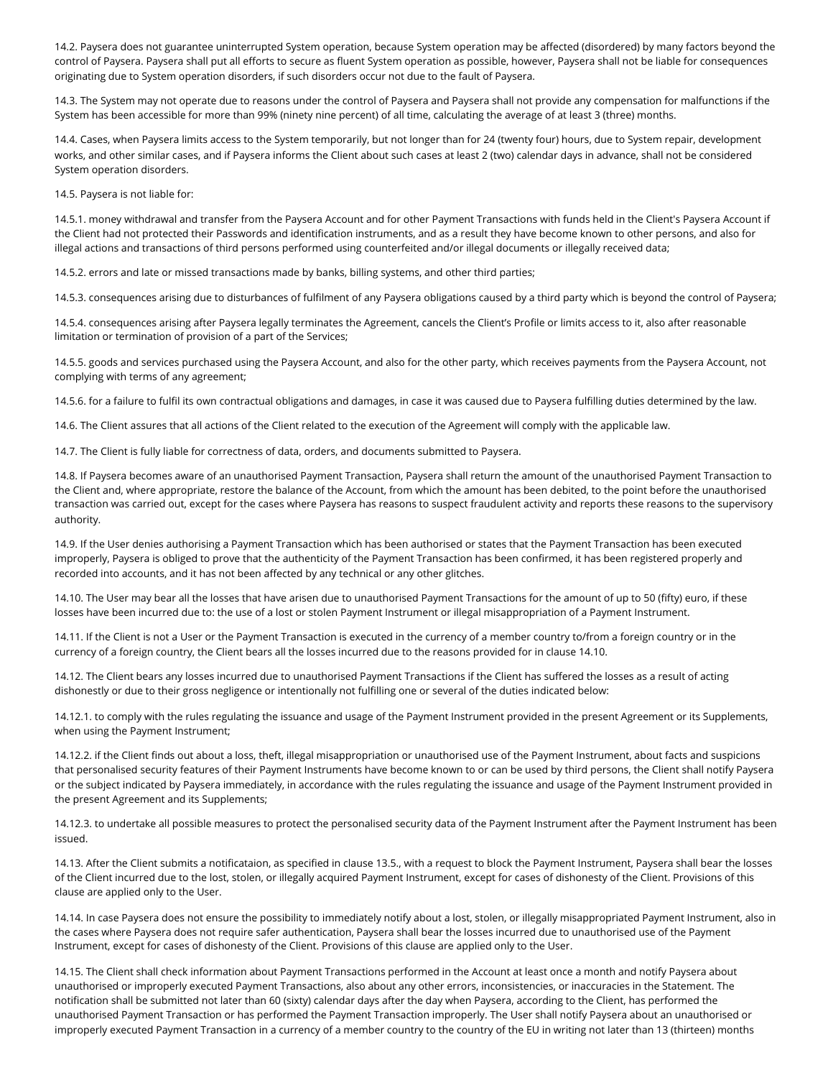14.2. Paysera does not guarantee uninterrupted System operation, because System operation may be affected (disordered) by many factors beyond the control of Paysera. Paysera shall put all efforts to secure as fluent System operation as possible, however, Paysera shall not be liable for consequences originating due to System operation disorders, if such disorders occur not due to the fault of Paysera.

14.3. The System may not operate due to reasons under the control of Paysera and Paysera shall not provide any compensation for malfunctions if the System has been accessible for more than 99% (ninety nine percent) of all time, calculating the average of at least 3 (three) months.

14.4. Cases, when Paysera limits access to the System temporarily, but not longer than for 24 (twenty four) hours, due to System repair, development works, and other similar cases, and if Paysera informs the Client about such cases at least 2 (two) calendar days in advance, shall not be considered System operation disorders.

14.5. Paysera is not liable for:

14.5.1. money withdrawal and transfer from the Paysera Account and for other Payment Transactions with funds held in the Client's Paysera Account if the Client had not protected their Passwords and identification instruments, and as a result they have become known to other persons, and also for illegal actions and transactions of third persons performed using counterfeited and/or illegal documents or illegally received data;

14.5.2. errors and late or missed transactions made by banks, billing systems, and other third parties;

14.5.3. consequences arising due to disturbances of fulfilment of any Paysera obligations caused by a third party which is beyond the control of Paysera;

14.5.4. consequences arising after Paysera legally terminates the Agreement, cancels the Client's Profile or limits access to it, also after reasonable limitation or termination of provision of a part of the Services;

14.5.5. goods and services purchased using the Paysera Account, and also for the other party, which receives payments from the Paysera Account, not complying with terms of any agreement;

14.5.6. for a failure to fulfil its own contractual obligations and damages, in case it was caused due to Paysera fulfilling duties determined by the law.

14.6. The Client assures that all actions of the Client related to the execution of the Agreement will comply with the applicable law.

14.7. The Client is fully liable for correctness of data, orders, and documents submitted to Paysera.

14.8. If Paysera becomes aware of an unauthorised Payment Transaction, Paysera shall return the amount of the unauthorised Payment Transaction to the Client and, where appropriate, restore the balance of the Account, from which the amount has been debited, to the point before the unauthorised transaction was carried out, except for the cases where Paysera has reasons to suspect fraudulent activity and reports these reasons to the supervisory authority.

14.9. If the User denies authorising a Payment Transaction which has been authorised or states that the Payment Transaction has been executed improperly, Paysera is obliged to prove that the authenticity of the Payment Transaction has been confirmed, it has been registered properly and recorded into accounts, and it has not been affected by any technical or any other glitches.

14.10. The User may bear all the losses that have arisen due to unauthorised Payment Transactions for the amount of up to 50 (fifty) euro, if these losses have been incurred due to: the use of a lost or stolen Payment Instrument or illegal misappropriation of a Payment Instrument.

14.11. If the Client is not a User or the Payment Transaction is executed in the currency of a member country to/from a foreign country or in the currency of a foreign country, the Client bears all the losses incurred due to the reasons provided for in clause 14.10.

14.12. The Client bears any losses incurred due to unauthorised Payment Transactions if the Client has suffered the losses as a result of acting dishonestly or due to their gross negligence or intentionally not fulfilling one or several of the duties indicated below:

14.12.1. to comply with the rules regulating the issuance and usage of the Payment Instrument provided in the present Agreement or its Supplements, when using the Payment Instrument;

14.12.2. if the Client finds out about a loss, theft, illegal misappropriation or unauthorised use of the Payment Instrument, about facts and suspicions that personalised security features of their Payment Instruments have become known to or can be used by third persons, the Client shall notify Paysera or the subject indicated by Paysera immediately, in accordance with the rules regulating the issuance and usage of the Payment Instrument provided in the present Agreement and its Supplements;

14.12.3. to undertake all possible measures to protect the personalised security data of the Payment Instrument after the Payment Instrument has been issued.

14.13. After the Client submits a notificataion, as specified in clause 13.5., with a request to block the Payment Instrument, Paysera shall bear the losses of the Client incurred due to the lost, stolen, or illegally acquired Payment Instrument, except for cases of dishonesty of the Client. Provisions of this clause are applied only to the User.

14.14. In case Paysera does not ensure the possibility to immediately notify about a lost, stolen, or illegally misappropriated Payment Instrument, also in the cases where Paysera does not require safer authentication, Paysera shall bear the losses incurred due to unauthorised use of the Payment Instrument, except for cases of dishonesty of the Client. Provisions of this clause are applied only to the User.

14.15. The Client shall check information about Payment Transactions performed in the Account at least once a month and notify Paysera about unauthorised or improperly executed Payment Transactions, also about any other errors, inconsistencies, or inaccuracies in the Statement. The notification shall be submitted not later than 60 (sixty) calendar days after the day when Paysera, according to the Client, has performed the unauthorised Payment Transaction or has performed the Payment Transaction improperly. The User shall notify Paysera about an unauthorised or improperly executed Payment Transaction in a currency of a member country to the country of the EU in writing not later than 13 (thirteen) months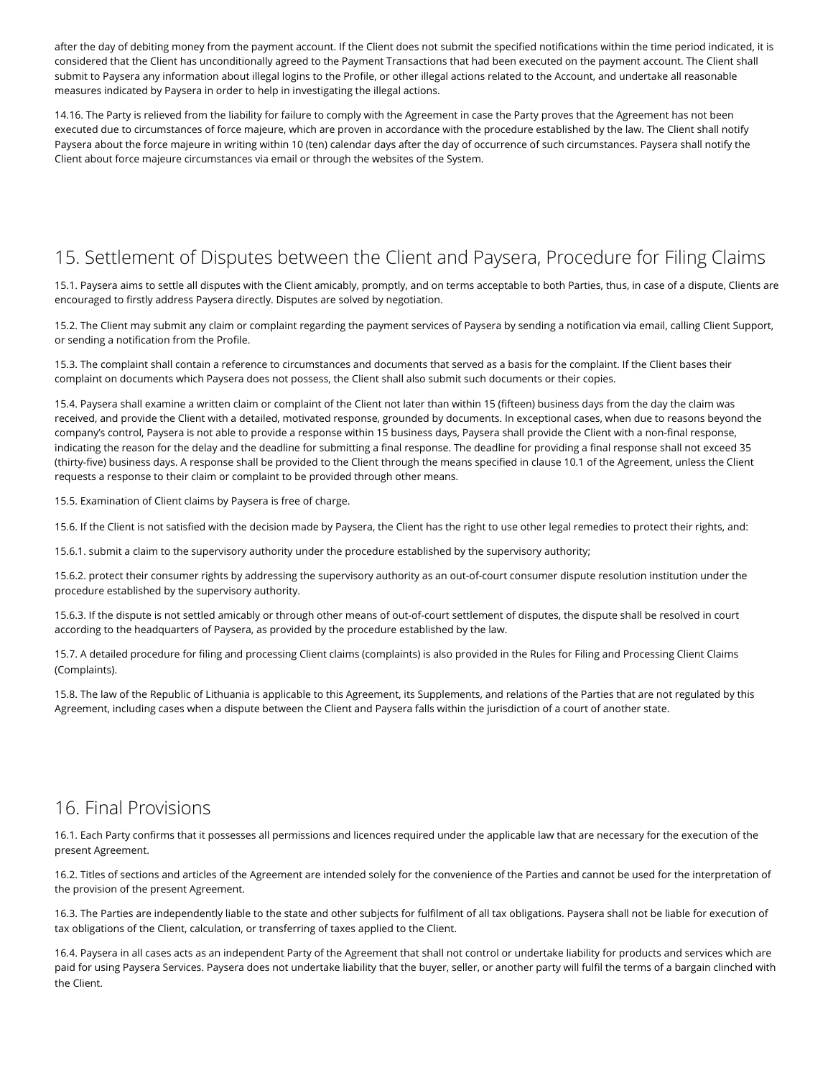after the day of debiting money from the payment account. If the Client does not submit the specified notifications within the time period indicated, it is considered that the Client has unconditionally agreed to the Payment Transactions that had been executed on the payment account. The Client shall submit to Paysera any information about illegal logins to the Profile, or other illegal actions related to the Account, and undertake all reasonable measures indicated by Paysera in order to help in investigating the illegal actions.

14.16. The Party is relieved from the liability for failure to comply with the Agreement in case the Party proves that the Agreement has not been executed due to circumstances of force majeure, which are proven in accordance with the procedure established by the law. The Client shall notify Paysera about the force majeure in writing within 10 (ten) calendar days after the day of occurrence of such circumstances. Paysera shall notify the Client about force majeure circumstances via email or through the websites of the System.

## 15. Settlement of Disputes between the Client and Paysera, Procedure for Filing Claims

15.1. Paysera aims to settle all disputes with the Client amicably, promptly, and on terms acceptable to both Parties, thus, in case of a dispute, Clients are encouraged to firstly address Paysera directly. Disputes are solved by negotiation.

15.2. The Client may submit any claim or complaint regarding the payment services of Paysera by sending a notification via email, calling Client Support, or sending a notification from the Profile.

15.3. The complaint shall contain a reference to circumstances and documents that served as a basis for the complaint. If the Client bases their complaint on documents which Paysera does not possess, the Client shall also submit such documents or their copies.

15.4. Paysera shall examine a written claim or complaint of the Client not later than within 15 (fifteen) business days from the day the claim was received, and provide the Client with a detailed, motivated response, grounded by documents. In exceptional cases, when due to reasons beyond the company's control, Paysera is not able to provide a response within 15 business days, Paysera shall provide the Client with a non-final response, indicating the reason for the delay and the deadline for submitting a final response. The deadline for providing a final response shall not exceed 35 (thirty-five) business days. A response shall be provided to the Client through the means specified in clause 10.1 of the Agreement, unless the Client requests a response to their claim or complaint to be provided through other means.

15.5. Examination of Client claims by Paysera is free of charge.

15.6. If the Client is not satisfied with the decision made by Paysera, the Client has the right to use other legal remedies to protect their rights, and:

15.6.1. submit a claim to the supervisory authority under the procedure established by the supervisory authority;

15.6.2. protect their consumer rights by addressing the supervisory authority as an out-of-court consumer dispute resolution institution under the procedure established by the supervisory authority.

15.6.3. If the dispute is not settled amicably or through other means of out-of-court settlement of disputes, the dispute shall be resolved in court according to the headquarters of Paysera, as provided by the procedure established by the law.

[15.7. A detailed procedure for filing and processing Client claims \(complaints\) is also provided in the Rules for Filing and Processing Client Claims](https://www.paysera.lt/v2/en-LT/legal/rules-of-client-claims-filing-and-examination) (Complaints).

15.8. The law of the Republic of Lithuania is applicable to this Agreement, its Supplements, and relations of the Parties that are not regulated by this Agreement, including cases when a dispute between the Client and Paysera falls within the jurisdiction of a court of another state.

#### 16. Final Provisions

16.1. Each Party confirms that it possesses all permissions and licences required under the applicable law that are necessary for the execution of the present Agreement.

16.2. Titles of sections and articles of the Agreement are intended solely for the convenience of the Parties and cannot be used for the interpretation of the provision of the present Agreement.

16.3. The Parties are independently liable to the state and other subjects for fulfilment of all tax obligations. Paysera shall not be liable for execution of tax obligations of the Client, calculation, or transferring of taxes applied to the Client.

16.4. Paysera in all cases acts as an independent Party of the Agreement that shall not control or undertake liability for products and services which are paid for using Paysera Services. Paysera does not undertake liability that the buyer, seller, or another party will fulfil the terms of a bargain clinched with the Client.